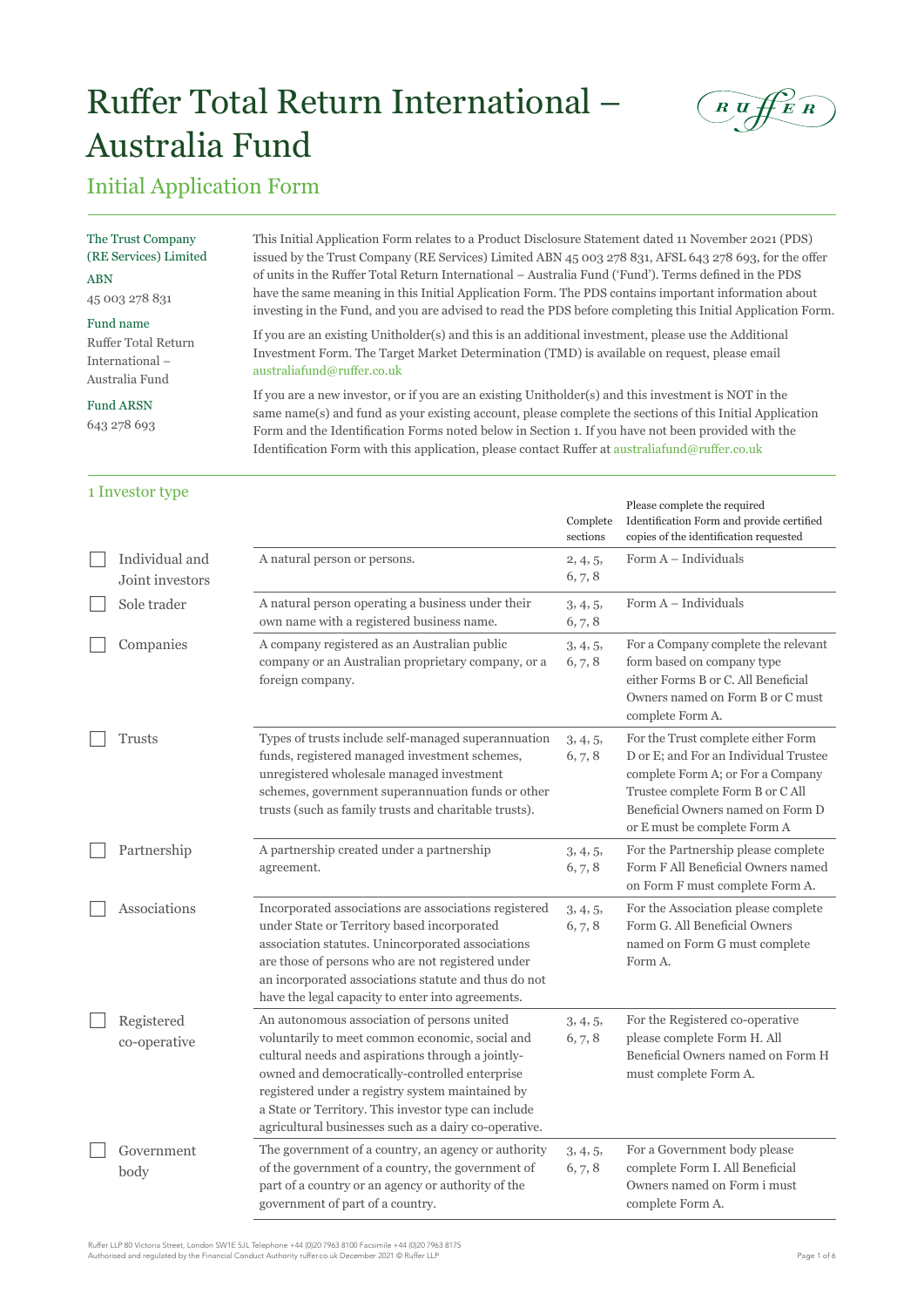# Ruffer Total Return International – Australia Fund



Please complete the required

# Initial Application Form

#### The Trust Company (RE Services) Limited

# ABN

45 003 278 831

Fund ARSN 643 278 693

## Fund name Ruffer Total Return International – Australia Fund

This Initial Application Form relates to a Product Disclosure Statement dated 11 November 2021 (PDS) issued by the Trust Company (RE Services) Limited ABN 45 003 278 831, AFSL 643 278 693, for the offer of units in the Ruffer Total Return International – Australia Fund ('Fund'). Terms defined in the PDS have the same meaning in this Initial Application Form. The PDS contains important information about investing in the Fund, and you are advised to read the PDS before completing this Initial Application Form.

If you are an existing Unitholder(s) and this is an additional investment, please use the Additional Investment Form. The Target Market Determination (TMD) is available on request, please email australiafund@ruffer.co.uk

If you are a new investor, or if you are an existing Unitholder(s) and this investment is NOT in the same name(s) and fund as your existing account, please complete the sections of this Initial Application Form and the Identification Forms noted below in Section 1. If you have not been provided with the Identification Form with this application, please contact Ruffer at australiafund@ruffer.co.uk

# 1 Investor type

|                                   |                                                                                                                                                                                                                                                                                                                                                                            | Complete<br>sections | Identification Form and provide certified<br>copies of the identification requested                                                                                                                                       |
|-----------------------------------|----------------------------------------------------------------------------------------------------------------------------------------------------------------------------------------------------------------------------------------------------------------------------------------------------------------------------------------------------------------------------|----------------------|---------------------------------------------------------------------------------------------------------------------------------------------------------------------------------------------------------------------------|
| Individual and<br>Joint investors | A natural person or persons.                                                                                                                                                                                                                                                                                                                                               | 2, 4, 5,<br>6, 7, 8  | Form $A$ – Individuals                                                                                                                                                                                                    |
| Sole trader                       | A natural person operating a business under their<br>own name with a registered business name.                                                                                                                                                                                                                                                                             | 3, 4, 5,<br>6, 7, 8  | Form A - Individuals                                                                                                                                                                                                      |
| Companies                         | A company registered as an Australian public<br>company or an Australian proprietary company, or a<br>foreign company.                                                                                                                                                                                                                                                     | 3, 4, 5,<br>6, 7, 8  | For a Company complete the relevant<br>form based on company type<br>either Forms B or C. All Beneficial<br>Owners named on Form B or C must<br>complete Form A.                                                          |
| Trusts                            | Types of trusts include self-managed superannuation<br>funds, registered managed investment schemes,<br>unregistered wholesale managed investment<br>schemes, government superannuation funds or other<br>trusts (such as family trusts and charitable trusts).                                                                                                            | 3, 4, 5,<br>6, 7, 8  | For the Trust complete either Form<br>D or E; and For an Individual Trustee<br>complete Form A; or For a Company<br>Trustee complete Form B or C All<br>Beneficial Owners named on Form D<br>or E must be complete Form A |
| Partnership                       | A partnership created under a partnership<br>agreement.                                                                                                                                                                                                                                                                                                                    | 3, 4, 5,<br>6, 7, 8  | For the Partnership please complete<br>Form F All Beneficial Owners named<br>on Form F must complete Form A.                                                                                                              |
| Associations                      | Incorporated associations are associations registered<br>under State or Territory based incorporated<br>association statutes. Unincorporated associations<br>are those of persons who are not registered under<br>an incorporated associations statute and thus do not<br>have the legal capacity to enter into agreements.                                                | 3, 4, 5,<br>6, 7, 8  | For the Association please complete<br>Form G. All Beneficial Owners<br>named on Form G must complete<br>Form A.                                                                                                          |
| Registered<br>co-operative        | An autonomous association of persons united<br>voluntarily to meet common economic, social and<br>cultural needs and aspirations through a jointly-<br>owned and democratically-controlled enterprise<br>registered under a registry system maintained by<br>a State or Territory. This investor type can include<br>agricultural businesses such as a dairy co-operative. | 3, 4, 5,<br>6, 7, 8  | For the Registered co-operative<br>please complete Form H. All<br>Beneficial Owners named on Form H<br>must complete Form A.                                                                                              |
| Government<br>body                | The government of a country, an agency or authority<br>of the government of a country, the government of<br>part of a country or an agency or authority of the<br>government of part of a country.                                                                                                                                                                         | 3, 4, 5,<br>6, 7, 8  | For a Government body please<br>complete Form I. All Beneficial<br>Owners named on Form i must<br>complete Form A.                                                                                                        |

Ruffer LLP 80 Victoria Street, London SW1E 5JL Telephone +44 (0)20 7963 8100 Facsimile +44 (0)20 7963 8175 Authorised and regulated by the Financial Conduct Authority ruffer.co.uk December 2021 © Ruffer LLP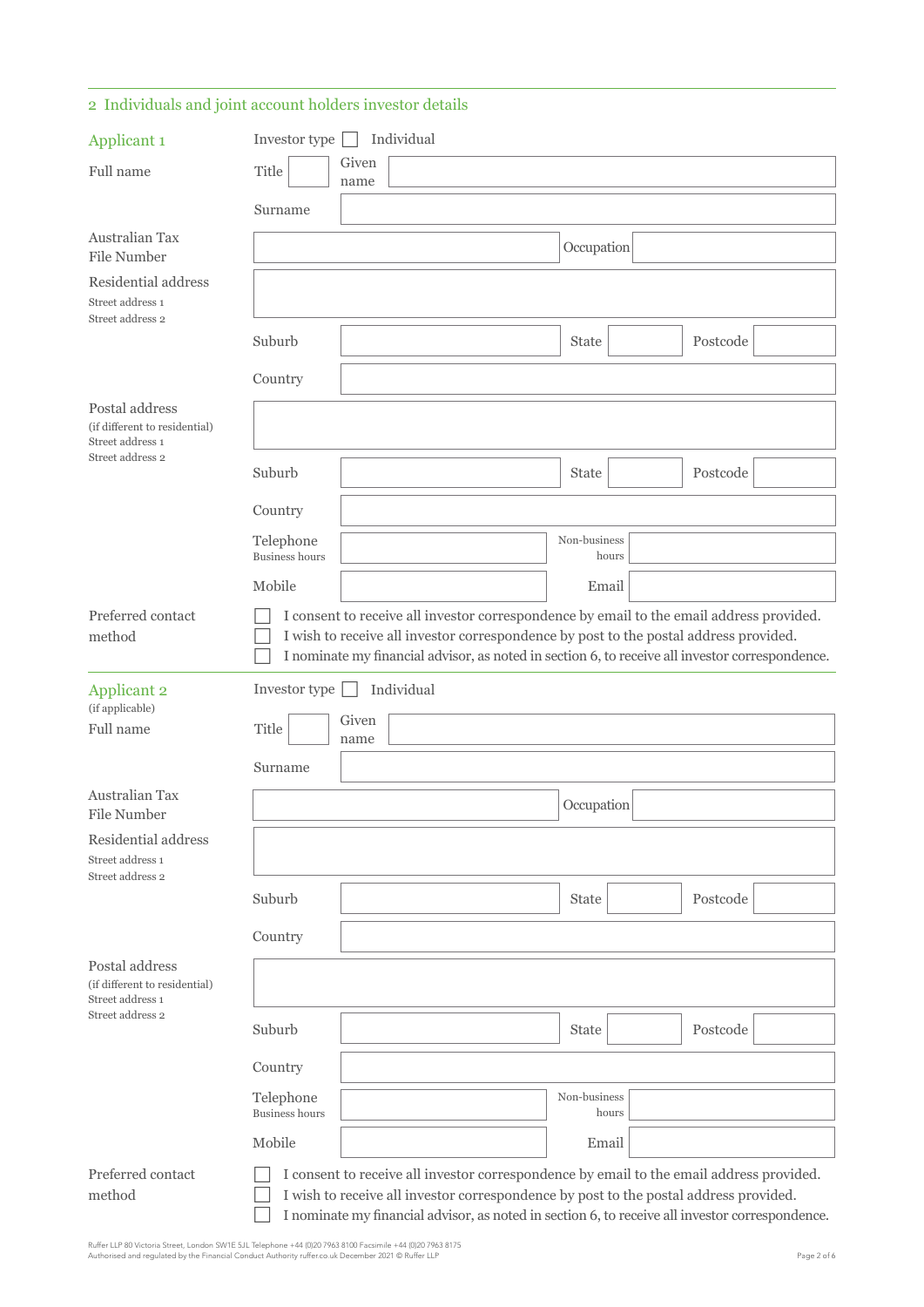# 2 Individuals and joint account holders investor details

| Applicant 1                                                                             | Investor type $\Box$ Individual    |               |            |                                                                                                                                                                                                                                                                                      |                       |          |  |
|-----------------------------------------------------------------------------------------|------------------------------------|---------------|------------|--------------------------------------------------------------------------------------------------------------------------------------------------------------------------------------------------------------------------------------------------------------------------------------|-----------------------|----------|--|
| Full name                                                                               | Title                              | Given<br>name |            |                                                                                                                                                                                                                                                                                      |                       |          |  |
|                                                                                         | Surname                            |               |            |                                                                                                                                                                                                                                                                                      |                       |          |  |
| Australian Tax<br>File Number                                                           |                                    |               |            |                                                                                                                                                                                                                                                                                      | Occupation            |          |  |
| Residential address<br>Street address 1<br>Street address 2                             |                                    |               |            |                                                                                                                                                                                                                                                                                      |                       |          |  |
|                                                                                         | Suburb                             |               |            |                                                                                                                                                                                                                                                                                      | State                 | Postcode |  |
|                                                                                         | Country                            |               |            |                                                                                                                                                                                                                                                                                      |                       |          |  |
| Postal address<br>(if different to residential)<br>Street address 1<br>Street address 2 |                                    |               |            |                                                                                                                                                                                                                                                                                      |                       |          |  |
|                                                                                         | Suburb                             |               |            |                                                                                                                                                                                                                                                                                      | State                 | Postcode |  |
|                                                                                         | Country                            |               |            |                                                                                                                                                                                                                                                                                      |                       |          |  |
|                                                                                         | Telephone<br><b>Business hours</b> |               |            |                                                                                                                                                                                                                                                                                      | Non-business<br>hours |          |  |
|                                                                                         | Mobile                             |               |            |                                                                                                                                                                                                                                                                                      | Email                 |          |  |
| Preferred contact<br>method                                                             |                                    |               |            | I consent to receive all investor correspondence by email to the email address provided.<br>I wish to receive all investor correspondence by post to the postal address provided.<br>I nominate my financial advisor, as noted in section 6, to receive all investor correspondence. |                       |          |  |
| <b>Applicant 2</b>                                                                      | Investor type                      |               | Individual |                                                                                                                                                                                                                                                                                      |                       |          |  |
| (if applicable)<br>Full name                                                            | Title                              | Given<br>name |            |                                                                                                                                                                                                                                                                                      |                       |          |  |
|                                                                                         | Surname                            |               |            |                                                                                                                                                                                                                                                                                      |                       |          |  |
| Australian Tax<br>File Number                                                           |                                    |               |            |                                                                                                                                                                                                                                                                                      | Occupation            |          |  |
| Residential address<br>Street address 1<br>Street address 2                             |                                    |               |            |                                                                                                                                                                                                                                                                                      |                       |          |  |
|                                                                                         | Suburb                             |               |            |                                                                                                                                                                                                                                                                                      | State                 | Postcode |  |
|                                                                                         | Country                            |               |            |                                                                                                                                                                                                                                                                                      |                       |          |  |
| Postal address<br>(if different to residential)<br>Street address 1                     |                                    |               |            |                                                                                                                                                                                                                                                                                      |                       |          |  |
| Street address 2                                                                        | Suburb                             |               |            |                                                                                                                                                                                                                                                                                      | State                 | Postcode |  |
|                                                                                         | Country                            |               |            |                                                                                                                                                                                                                                                                                      |                       |          |  |
|                                                                                         | Telephone<br><b>Business hours</b> |               |            |                                                                                                                                                                                                                                                                                      | Non-business<br>hours |          |  |
|                                                                                         | Mobile                             |               |            |                                                                                                                                                                                                                                                                                      | Email                 |          |  |
| Preferred contact<br>method                                                             |                                    |               |            | I consent to receive all investor correspondence by email to the email address provided.<br>I wish to receive all investor correspondence by post to the postal address provided.                                                                                                    |                       |          |  |

 $\Box$  I wish to receive all investor correspondence by post to the postal address provided. I nominate my financial advisor, as noted in section 6, to receive all investor correspondence.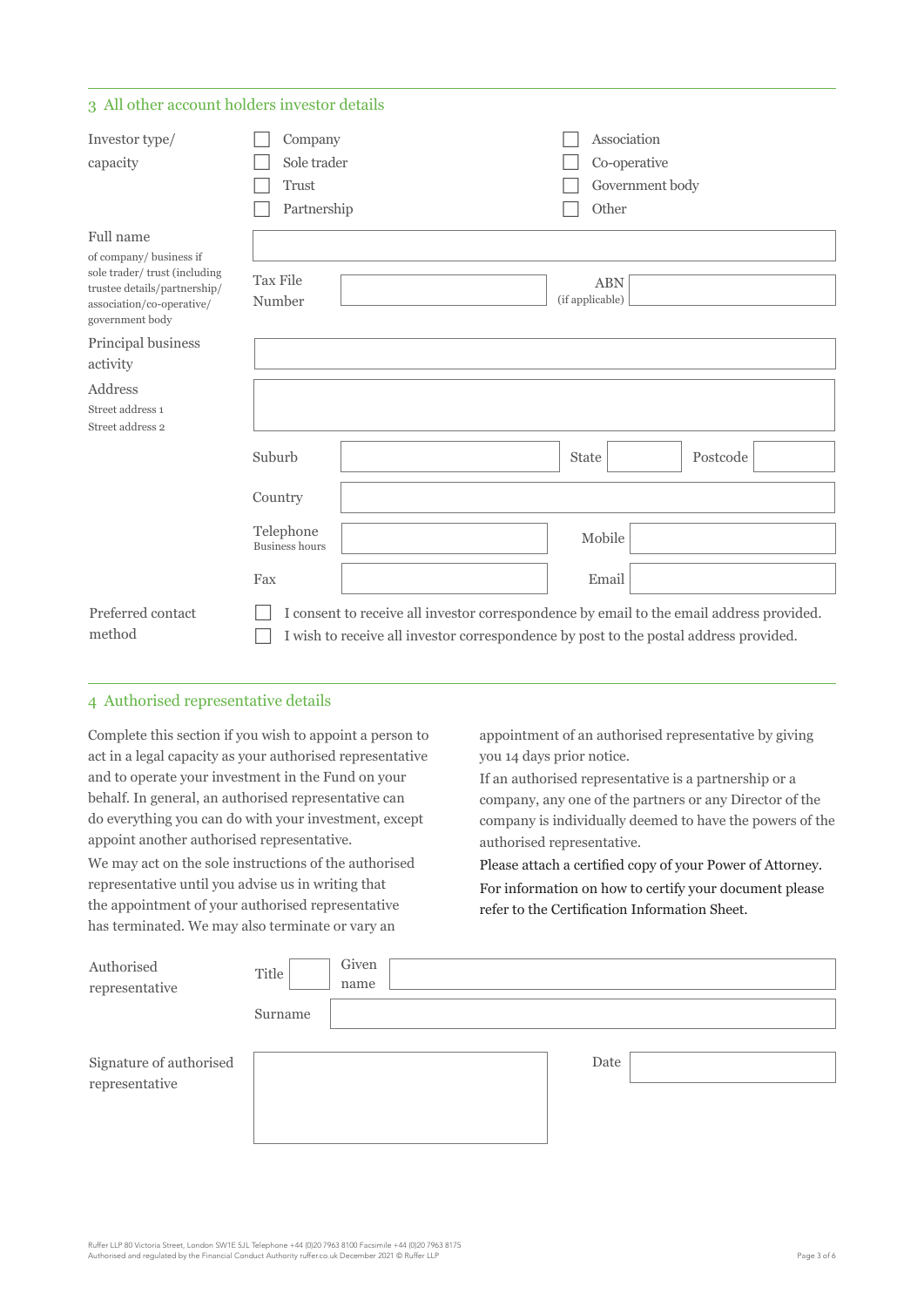| 3 All other account holders investor details                                                                                            |                                                       |                                                                                                                                                                                   |                               |                                                         |          |  |
|-----------------------------------------------------------------------------------------------------------------------------------------|-------------------------------------------------------|-----------------------------------------------------------------------------------------------------------------------------------------------------------------------------------|-------------------------------|---------------------------------------------------------|----------|--|
| Investor type/<br>capacity                                                                                                              | Company<br>Sole trader<br><b>Trust</b><br>Partnership |                                                                                                                                                                                   |                               | Association<br>Co-operative<br>Government body<br>Other |          |  |
| Full name                                                                                                                               |                                                       |                                                                                                                                                                                   |                               |                                                         |          |  |
| of company/ business if<br>sole trader/trust (including<br>trustee details/partnership/<br>association/co-operative/<br>government body | <b>Tax File</b><br>Number                             |                                                                                                                                                                                   | <b>ABN</b><br>(if applicable) |                                                         |          |  |
| Principal business<br>activity                                                                                                          |                                                       |                                                                                                                                                                                   |                               |                                                         |          |  |
| Address<br>Street address 1<br>Street address 2                                                                                         |                                                       |                                                                                                                                                                                   |                               |                                                         |          |  |
|                                                                                                                                         | Suburb                                                |                                                                                                                                                                                   | <b>State</b>                  |                                                         | Postcode |  |
|                                                                                                                                         | Country                                               |                                                                                                                                                                                   |                               |                                                         |          |  |
|                                                                                                                                         | Telephone<br><b>Business hours</b>                    |                                                                                                                                                                                   | Mobile                        |                                                         |          |  |
|                                                                                                                                         | Fax                                                   |                                                                                                                                                                                   | Email                         |                                                         |          |  |
| Preferred contact<br>method                                                                                                             |                                                       | I consent to receive all investor correspondence by email to the email address provided.<br>I wish to receive all investor correspondence by post to the postal address provided. |                               |                                                         |          |  |

# 4 Authorised representative details

Complete this section if you wish to appoint a person to act in a legal capacity as your authorised representative and to operate your investment in the Fund on your behalf. In general, an authorised representative can do everything you can do with your investment, except appoint another authorised representative.

We may act on the sole instructions of the authorised representative until you advise us in writing that the appointment of your authorised representative has terminated. We may also terminate or vary an

appointment of an authorised representative by giving you 14 days prior notice.

If an authorised representative is a partnership or a company, any one of the partners or any Director of the company is individually deemed to have the powers of the authorised representative.

Please attach a certified copy of your Power of Attorney. For information on how to certify your document please refer to the Certification Information Sheet.

| Authorised<br>representative              | Title   | Given<br>name |  |      |  |
|-------------------------------------------|---------|---------------|--|------|--|
|                                           | Surname |               |  |      |  |
| Signature of authorised<br>representative |         |               |  | Date |  |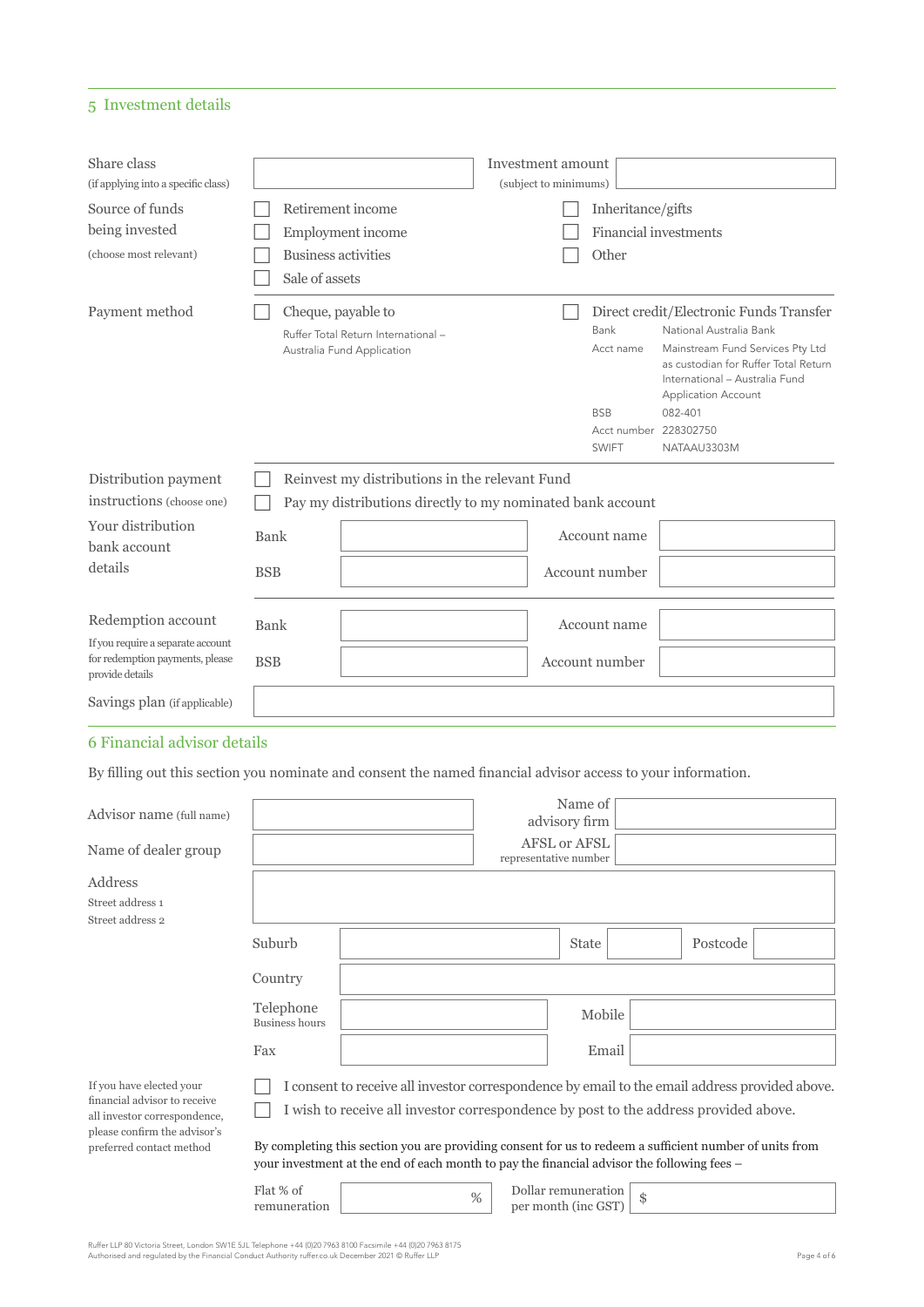# 5 Investment details

| Share class<br>(if applying into a specific class)<br>Source of funds<br>being invested<br>(choose most relevant) | <b>Business activities</b> | Retirement income<br>Employment income                                                                       | Investment amount<br>(subject to minimums) | Inheritance/gifts<br>Financial investments<br>Other                      |                                                                                                                                                                                                                                   |
|-------------------------------------------------------------------------------------------------------------------|----------------------------|--------------------------------------------------------------------------------------------------------------|--------------------------------------------|--------------------------------------------------------------------------|-----------------------------------------------------------------------------------------------------------------------------------------------------------------------------------------------------------------------------------|
|                                                                                                                   | Sale of assets             |                                                                                                              |                                            |                                                                          |                                                                                                                                                                                                                                   |
| Payment method                                                                                                    | Cheque, payable to         | Ruffer Total Return International -<br>Australia Fund Application                                            |                                            | Bank<br>Acct name<br><b>BSB</b><br>Acct number 228302750<br><b>SWIFT</b> | Direct credit/Electronic Funds Transfer<br>National Australia Bank<br>Mainstream Fund Services Pty Ltd<br>as custodian for Ruffer Total Return<br>International - Australia Fund<br>Application Account<br>082-401<br>NATAAU3303M |
| Distribution payment<br>instructions (choose one)                                                                 |                            | Reinvest my distributions in the relevant Fund<br>Pay my distributions directly to my nominated bank account |                                            |                                                                          |                                                                                                                                                                                                                                   |
| Your distribution<br>bank account                                                                                 | Bank                       |                                                                                                              |                                            | Account name                                                             |                                                                                                                                                                                                                                   |
| details                                                                                                           | <b>BSB</b>                 |                                                                                                              |                                            | Account number                                                           |                                                                                                                                                                                                                                   |
| Redemption account<br>If you require a separate account                                                           | <b>Bank</b>                |                                                                                                              |                                            | Account name                                                             |                                                                                                                                                                                                                                   |
| for redemption payments, please<br>provide details                                                                | <b>BSB</b>                 |                                                                                                              |                                            | Account number                                                           |                                                                                                                                                                                                                                   |
| Savings plan (if applicable)                                                                                      |                            |                                                                                                              |                                            |                                                                          |                                                                                                                                                                                                                                   |

# 6 Financial advisor details

By filling out this section you nominate and consent the named financial advisor access to your information.

| Advisor name (full name)                                                                 |                                    |                                                                                                                                                                                                       | Name of<br>advisory firm              |   |          |  |
|------------------------------------------------------------------------------------------|------------------------------------|-------------------------------------------------------------------------------------------------------------------------------------------------------------------------------------------------------|---------------------------------------|---|----------|--|
| Name of dealer group                                                                     |                                    |                                                                                                                                                                                                       | AFSL or AFSL<br>representative number |   |          |  |
| Address<br>Street address 1<br>Street address 2                                          |                                    |                                                                                                                                                                                                       |                                       |   |          |  |
|                                                                                          | Suburb                             |                                                                                                                                                                                                       | <b>State</b>                          |   | Postcode |  |
|                                                                                          | Country                            |                                                                                                                                                                                                       |                                       |   |          |  |
|                                                                                          | Telephone<br><b>Business hours</b> |                                                                                                                                                                                                       | Mobile                                |   |          |  |
|                                                                                          | Fax                                |                                                                                                                                                                                                       | Email                                 |   |          |  |
| If you have elected your<br>financial advisor to receive<br>all investor correspondence, |                                    | I consent to receive all investor correspondence by email to the email address provided above.<br>I wish to receive all investor correspondence by post to the address provided above.                |                                       |   |          |  |
| please confirm the advisor's<br>preferred contact method                                 |                                    | By completing this section you are providing consent for us to redeem a sufficient number of units from<br>your investment at the end of each month to pay the financial advisor the following fees - |                                       |   |          |  |
|                                                                                          | Flat % of                          | 0/                                                                                                                                                                                                    | Dollar remuneration                   | Ⴐ |          |  |

| 1 1ac 70 OT<br>remuneration | % | D'UILLE I CHILLINT ALIUII<br>per month (inc GST) |  |
|-----------------------------|---|--------------------------------------------------|--|
|                             |   |                                                  |  |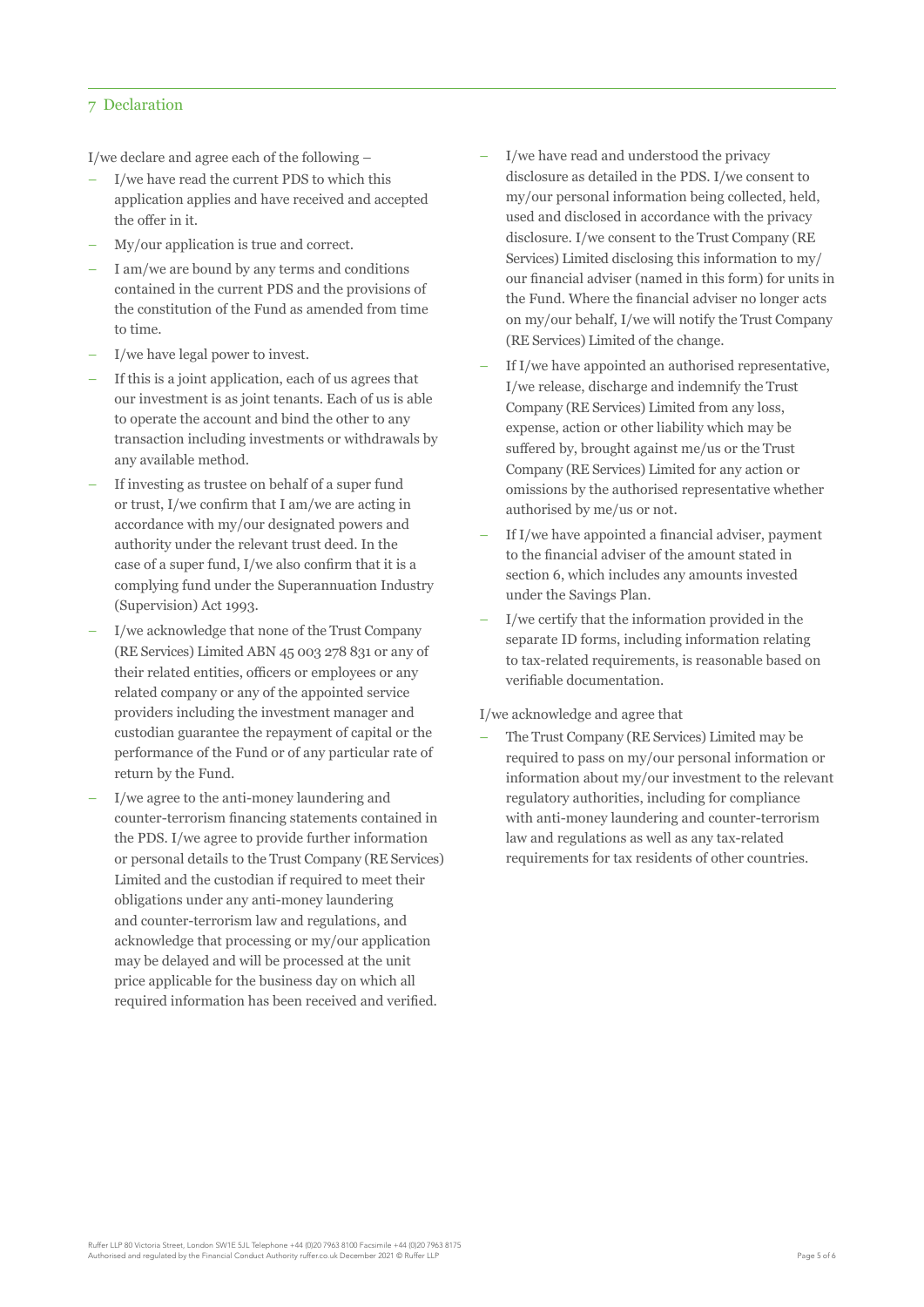# 7 Declaration

I/we declare and agree each of the following –

- I/we have read the current PDS to which this application applies and have received and accepted the offer in it.
- My/our application is true and correct.
- I am/we are bound by any terms and conditions contained in the current PDS and the provisions of the constitution of the Fund as amended from time to time.
- I/we have legal power to invest.
- If this is a joint application, each of us agrees that our investment is as joint tenants. Each of us is able to operate the account and bind the other to any transaction including investments or withdrawals by any available method.
- If investing as trustee on behalf of a super fund or trust, I/we confirm that I am/we are acting in accordance with my/our designated powers and authority under the relevant trust deed. In the case of a super fund, I/we also confirm that it is a complying fund under the Superannuation Industry (Supervision) Act 1993.
- I/we acknowledge that none of the Trust Company (RE Services) Limited ABN 45 003 278 831 or any of their related entities, officers or employees or any related company or any of the appointed service providers including the investment manager and custodian guarantee the repayment of capital or the performance of the Fund or of any particular rate of return by the Fund.
- I/we agree to the anti-money laundering and counter-terrorism financing statements contained in the PDS. I/we agree to provide further information or personal details to the Trust Company (RE Services) Limited and the custodian if required to meet their obligations under any anti-money laundering and counter-terrorism law and regulations, and acknowledge that processing or my/our application may be delayed and will be processed at the unit price applicable for the business day on which all required information has been received and verified.
- I/we have read and understood the privacy disclosure as detailed in the PDS. I/we consent to my/our personal information being collected, held, used and disclosed in accordance with the privacy disclosure. I/we consent to the Trust Company (RE Services) Limited disclosing this information to my/ our financial adviser (named in this form) for units in the Fund. Where the financial adviser no longer acts on my/our behalf, I/we will notify the Trust Company (RE Services) Limited of the change.
- If I/we have appointed an authorised representative, I/we release, discharge and indemnify the Trust Company (RE Services) Limited from any loss, expense, action or other liability which may be suffered by, brought against me/us or the Trust Company (RE Services) Limited for any action or omissions by the authorised representative whether authorised by me/us or not.
- If I/we have appointed a financial adviser, payment to the financial adviser of the amount stated in section 6, which includes any amounts invested under the Savings Plan.
- I/we certify that the information provided in the separate ID forms, including information relating to tax-related requirements, is reasonable based on verifiable documentation.

I/we acknowledge and agree that

– The Trust Company (RE Services) Limited may be required to pass on my/our personal information or information about my/our investment to the relevant regulatory authorities, including for compliance with anti-money laundering and counter-terrorism law and regulations as well as any tax-related requirements for tax residents of other countries.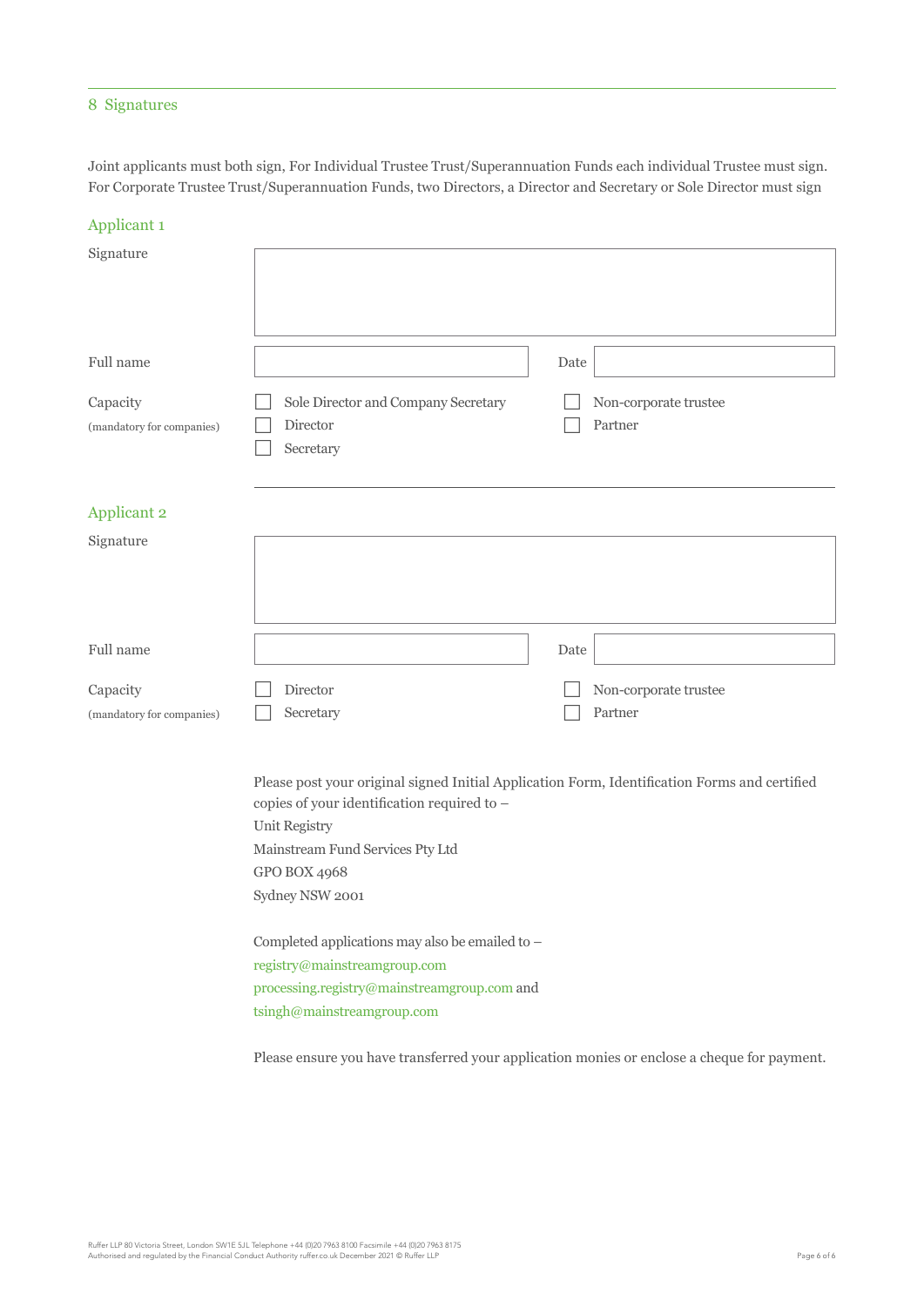# 8 Signatures

Joint applicants must both sign, For Individual Trustee Trust/Superannuation Funds each individual Trustee must sign. For Corporate Trustee Trust/Superannuation Funds, two Directors, a Director and Secretary or Sole Director must sign

| <b>Applicant 1</b>                    |                                                                                                                                                                                                                                                                                                                                                                                                      |      |                                  |
|---------------------------------------|------------------------------------------------------------------------------------------------------------------------------------------------------------------------------------------------------------------------------------------------------------------------------------------------------------------------------------------------------------------------------------------------------|------|----------------------------------|
| Signature                             |                                                                                                                                                                                                                                                                                                                                                                                                      |      |                                  |
| Full name                             |                                                                                                                                                                                                                                                                                                                                                                                                      | Date |                                  |
| Capacity<br>(mandatory for companies) | Sole Director and Company Secretary<br>Director<br>Secretary                                                                                                                                                                                                                                                                                                                                         |      | Non-corporate trustee<br>Partner |
| <b>Applicant 2</b>                    |                                                                                                                                                                                                                                                                                                                                                                                                      |      |                                  |
| Signature                             |                                                                                                                                                                                                                                                                                                                                                                                                      |      |                                  |
| Full name                             |                                                                                                                                                                                                                                                                                                                                                                                                      | Date |                                  |
| Capacity<br>(mandatory for companies) | Director<br>Secretary                                                                                                                                                                                                                                                                                                                                                                                |      | Non-corporate trustee<br>Partner |
|                                       | Please post your original signed Initial Application Form, Identification Forms and certified<br>copies of your identification required to -<br>Unit Registry<br>Mainstream Fund Services Pty Ltd<br>GPO BOX 4968<br>Sydney NSW 2001<br>Completed applications may also be emailed to -<br>registry@mainstreamgroup.com<br>processing.registry@mainstreamgroup.com and<br>tsingh@mainstreamgroup.com |      |                                  |
|                                       | Please ensure you have transferred your application monies or enclose a cheque for payment.                                                                                                                                                                                                                                                                                                          |      |                                  |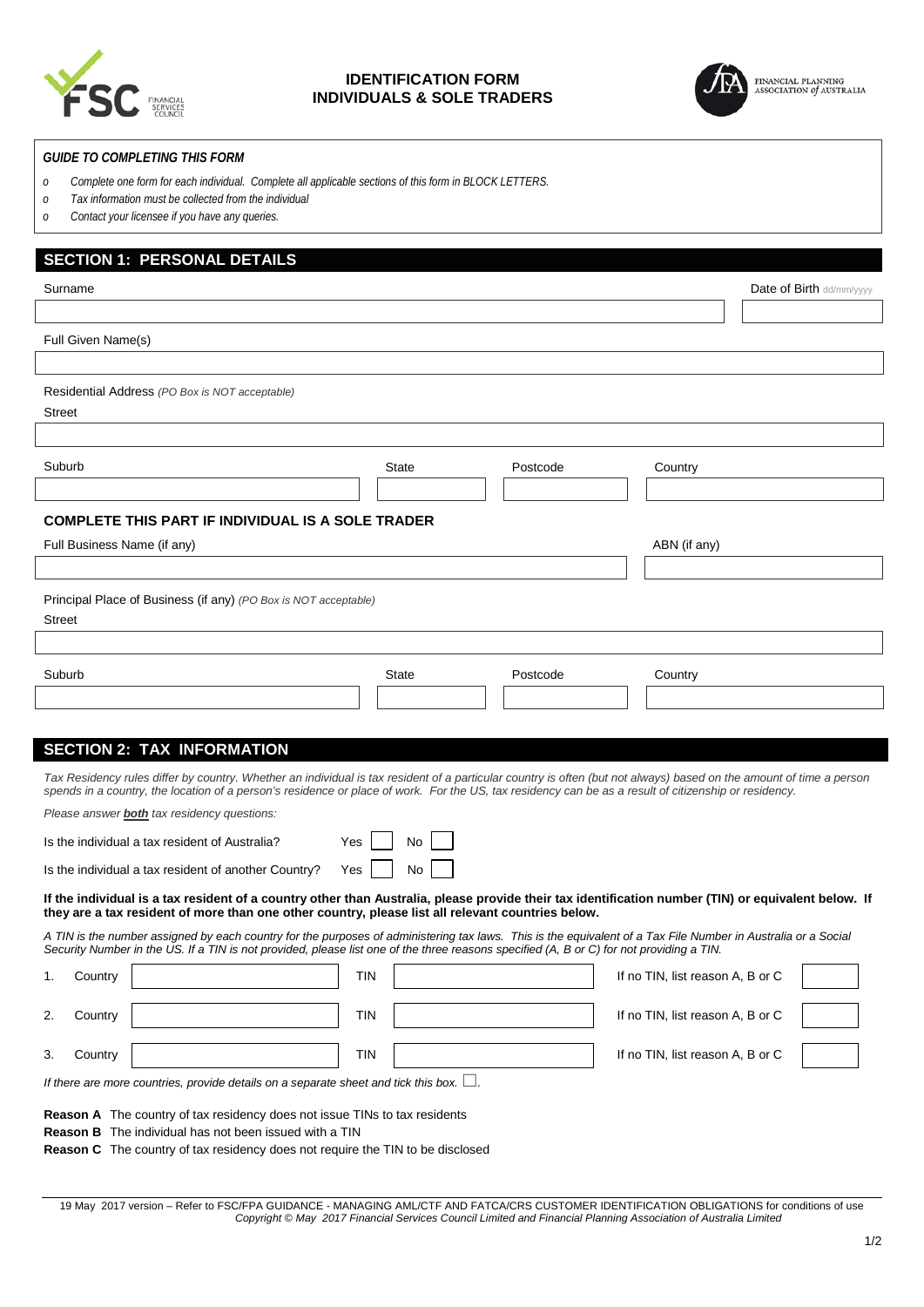

# **IDENTIFICATION FORM INDIVIDUALS & SOLE TRADERS**



#### *GUIDE TO COMPLETING THIS FORM*

- *o Complete one form for each individual. Complete all applicable sections of this form in BLOCK LETTERS.*
- *o Tax information must be collected from the individual*
- *o Contact your licensee if you have any queries.*

# **SECTION 1: PERSONAL DETAILS**

| Surname                                                                                                                                                                                                                                                                                                                      |       |          | Date of Birth dd/mm/yyyy         |
|------------------------------------------------------------------------------------------------------------------------------------------------------------------------------------------------------------------------------------------------------------------------------------------------------------------------------|-------|----------|----------------------------------|
|                                                                                                                                                                                                                                                                                                                              |       |          |                                  |
| Full Given Name(s)                                                                                                                                                                                                                                                                                                           |       |          |                                  |
|                                                                                                                                                                                                                                                                                                                              |       |          |                                  |
| Residential Address (PO Box is NOT acceptable)<br><b>Street</b>                                                                                                                                                                                                                                                              |       |          |                                  |
|                                                                                                                                                                                                                                                                                                                              |       |          |                                  |
| Suburb                                                                                                                                                                                                                                                                                                                       | State | Postcode | Country                          |
|                                                                                                                                                                                                                                                                                                                              |       |          |                                  |
| COMPLETE THIS PART IF INDIVIDUAL IS A SOLE TRADER                                                                                                                                                                                                                                                                            |       |          |                                  |
| Full Business Name (if any)                                                                                                                                                                                                                                                                                                  |       |          | ABN (if any)                     |
|                                                                                                                                                                                                                                                                                                                              |       |          |                                  |
| Principal Place of Business (if any) (PO Box is NOT acceptable)                                                                                                                                                                                                                                                              |       |          |                                  |
| <b>Street</b>                                                                                                                                                                                                                                                                                                                |       |          |                                  |
|                                                                                                                                                                                                                                                                                                                              |       |          |                                  |
| Suburb                                                                                                                                                                                                                                                                                                                       | State | Postcode | Country                          |
|                                                                                                                                                                                                                                                                                                                              |       |          |                                  |
|                                                                                                                                                                                                                                                                                                                              |       |          |                                  |
| <b>SECTION 2: TAX INFORMATION</b>                                                                                                                                                                                                                                                                                            |       |          |                                  |
| Tax Residency rules differ by country. Whether an individual is tax resident of a particular country is often (but not always) based on the amount of time a person<br>spends in a country, the location of a person's residence or place of work. For the US, tax residency can be as a result of citizenship or residency. |       |          |                                  |
| Please answer <b>both</b> tax residency questions:                                                                                                                                                                                                                                                                           |       |          |                                  |
| Yes<br>Is the individual a tax resident of Australia?                                                                                                                                                                                                                                                                        | No    |          |                                  |
| Is the individual a tax resident of another Country?<br>Yes                                                                                                                                                                                                                                                                  | No    |          |                                  |
| If the individual is a tax resident of a country other than Australia, please provide their tax identification number (TIN) or equivalent below. If<br>they are a tax resident of more than one other country, please list all relevant countries below.                                                                     |       |          |                                  |
| A TIN is the number assigned by each country for the purposes of administering tax laws. This is the equivalent of a Tax File Number in Australia or a Social<br>Security Number in the US. If a TIN is not provided, please list one of the three reasons specified (A, B or C) for not providing a TIN.                    |       |          |                                  |
| <b>TIN</b><br>Country<br>1.                                                                                                                                                                                                                                                                                                  |       |          | If no TIN, list reason A, B or C |
| Country<br><b>TIN</b><br>2.                                                                                                                                                                                                                                                                                                  |       |          | If no TIN, list reason A, B or C |
| 3.<br><b>TIN</b><br>Country                                                                                                                                                                                                                                                                                                  |       |          | If no TIN, list reason A, B or C |
| If there are more countries, provide details on a separate sheet and tick this box. $\Box$                                                                                                                                                                                                                                   |       |          |                                  |
| Reason A The country of tax residency does not issue TINs to tax residents<br>Reason B The individual has not been issued with a TIN<br>Reason C The country of tax residency does not require the TIN to be disclosed                                                                                                       |       |          |                                  |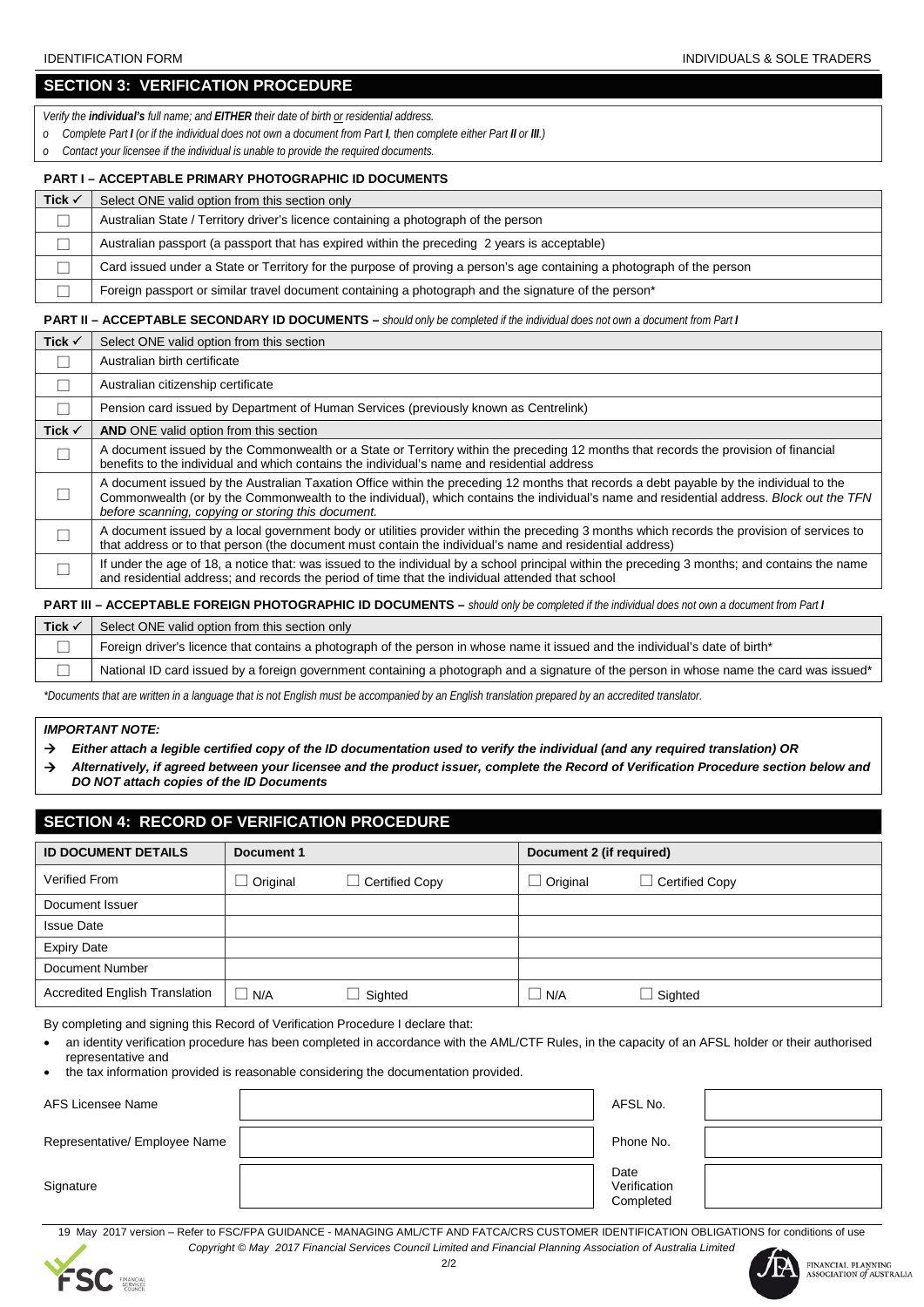# **SECTION 3: VERIFICATION PROCEDURE**

*Verify the individual's full name; and EITHER their date of birth or residential address.*

- *o Complete Part I (or if the individual does not own a document from Part I, then complete either Part II or III.)*
- *o Contact your licensee if the individual is unable to provide the required documents.*

#### **PART I – ACCEPTABLE PRIMARY PHOTOGRAPHIC ID DOCUMENTS**

| Tick $\checkmark$ | Select ONE valid option from this section only                                                                         |
|-------------------|------------------------------------------------------------------------------------------------------------------------|
|                   | Australian State / Territory driver's licence containing a photograph of the person                                    |
|                   | Australian passport (a passport that has expired within the preceding 2 years is acceptable)                           |
|                   | Card issued under a State or Territory for the purpose of proving a person's age containing a photograph of the person |
|                   | Foreign passport or similar travel document containing a photograph and the signature of the person*                   |

#### **PART II – ACCEPTABLE SECONDARY ID DOCUMENTS –** *should only be completed if the individual does not own a document from Part I*

| Tick $\checkmark$ | Select ONE valid option from this section                                                                                                                                                                                                                                                                                                 |
|-------------------|-------------------------------------------------------------------------------------------------------------------------------------------------------------------------------------------------------------------------------------------------------------------------------------------------------------------------------------------|
|                   | Australian birth certificate                                                                                                                                                                                                                                                                                                              |
|                   | Australian citizenship certificate                                                                                                                                                                                                                                                                                                        |
| E                 | Pension card issued by Department of Human Services (previously known as Centrelink)                                                                                                                                                                                                                                                      |
| Tick $\checkmark$ | <b>AND</b> ONE valid option from this section                                                                                                                                                                                                                                                                                             |
| $\Box$            | A document issued by the Commonwealth or a State or Territory within the preceding 12 months that records the provision of financial<br>benefits to the individual and which contains the individual's name and residential address                                                                                                       |
| Г                 | A document issued by the Australian Taxation Office within the preceding 12 months that records a debt payable by the individual to the<br>Commonwealth (or by the Commonwealth to the individual), which contains the individual's name and residential address. Block out the TFN<br>before scanning, copying or storing this document. |
| $\Box$            | A document issued by a local government body or utilities provider within the preceding 3 months which records the provision of services to<br>that address or to that person (the document must contain the individual's name and residential address)                                                                                   |
| П                 | If under the age of 18, a notice that: was issued to the individual by a school principal within the preceding 3 months; and contains the name<br>and residential address; and records the period of time that the individual attended that school                                                                                        |

#### **PART III – ACCEPTABLE FOREIGN PHOTOGRAPHIC ID DOCUMENTS –** *should only be completed if the individual does not own a document from Part I*

| Tick $\checkmark$ | Select ONE valid option from this section only                                                                                           |
|-------------------|------------------------------------------------------------------------------------------------------------------------------------------|
|                   | Foreign driver's licence that contains a photograph of the person in whose name it issued and the individual's date of birth*            |
|                   | National ID card issued by a foreign government containing a photograph and a signature of the person in whose name the card was issued* |

*\*Documents that are written in a language that is not English must be accompanied by an English translation prepared by an accredited translator.*

#### *IMPORTANT NOTE:*

- *Either attach a legible certified copy of the ID documentation used to verify the individual (and any required translation) OR*
- *Alternatively, if agreed between your licensee and the product issuer, complete the Record of Verification Procedure section below and DO NOT attach copies of the ID Documents*

# **SECTION 4: RECORD OF VERIFICATION PROCEDURE**

| <b>ID DOCUMENT DETAILS</b>            | Document 1 |                       | Document 2 (if required) |                       |
|---------------------------------------|------------|-----------------------|--------------------------|-----------------------|
| Verified From                         | Original   | $\Box$ Certified Copy | Original                 | $\Box$ Certified Copy |
| Document Issuer                       |            |                       |                          |                       |
| <b>Issue Date</b>                     |            |                       |                          |                       |
| <b>Expiry Date</b>                    |            |                       |                          |                       |
| Document Number                       |            |                       |                          |                       |
| <b>Accredited English Translation</b> | N/A        | Sighted               | N/A                      | $\Box$ Sighted        |

By completing and signing this Record of Verification Procedure I declare that:

- an identity verification procedure has been completed in accordance with the AML/CTF Rules, in the capacity of an AFSL holder or their authorised representative and
- the tax information provided is reasonable considering the documentation provided.

| AFS Licensee Name             | AFSL No.                          |  |
|-------------------------------|-----------------------------------|--|
| Representative/ Employee Name | Phone No.                         |  |
| Signature                     | Date<br>Verification<br>Completed |  |



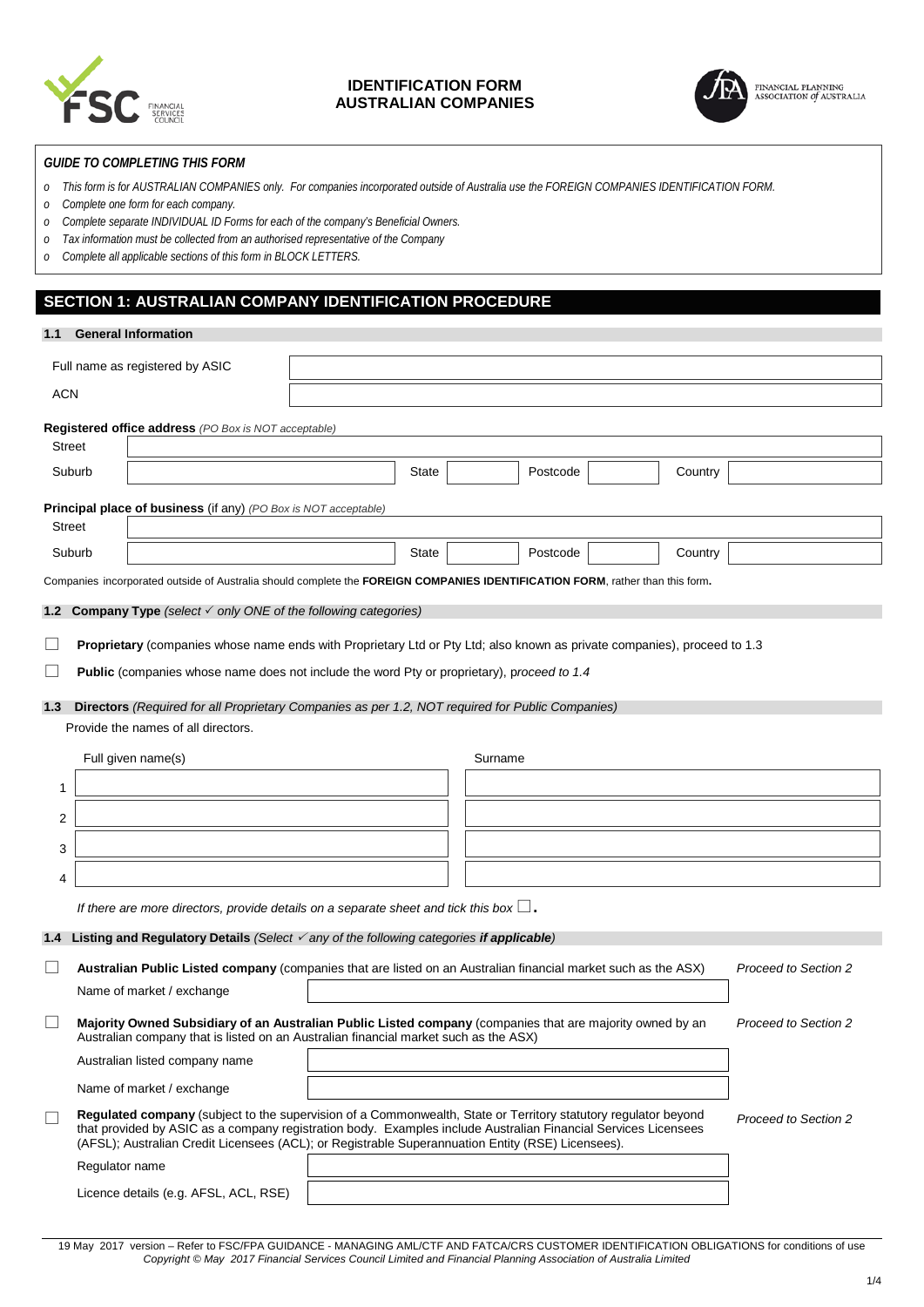

# **IDENTIFICATION FORM AUSTRALIAN COMPANIES**



# *GUIDE TO COMPLETING THIS FORM*

- *o This form is for AUSTRALIAN COMPANIES only. For companies incorporated outside of Australia use the FOREIGN COMPANIES IDENTIFICATION FORM.*
- *o Complete one form for each company.*
- *o Complete separate INDIVIDUAL ID Forms for each of the company's Beneficial Owners.*
- *o Tax information must be collected from an authorised representative of the Company*
- *o Complete all applicable sections of this form in BLOCK LETTERS.*

# **SECTION 1: AUSTRALIAN COMPANY IDENTIFICATION PROCEDURE**

| 1.1                         |                | <b>General Information</b>                                                                                                                                                                                                                                                                                                            |              |         |          |         |                             |
|-----------------------------|----------------|---------------------------------------------------------------------------------------------------------------------------------------------------------------------------------------------------------------------------------------------------------------------------------------------------------------------------------------|--------------|---------|----------|---------|-----------------------------|
|                             |                | Full name as registered by ASIC                                                                                                                                                                                                                                                                                                       |              |         |          |         |                             |
| <b>ACN</b>                  |                |                                                                                                                                                                                                                                                                                                                                       |              |         |          |         |                             |
|                             |                | Registered office address (PO Box is NOT acceptable)                                                                                                                                                                                                                                                                                  |              |         |          |         |                             |
|                             | <b>Street</b>  |                                                                                                                                                                                                                                                                                                                                       |              |         |          |         |                             |
|                             | Suburb         |                                                                                                                                                                                                                                                                                                                                       | <b>State</b> |         | Postcode | Country |                             |
|                             |                |                                                                                                                                                                                                                                                                                                                                       |              |         |          |         |                             |
|                             | <b>Street</b>  | <b>Principal place of business</b> (if any) (PO Box is NOT acceptable)                                                                                                                                                                                                                                                                |              |         |          |         |                             |
|                             | Suburb         |                                                                                                                                                                                                                                                                                                                                       | <b>State</b> |         | Postcode | Country |                             |
|                             |                | Companies incorporated outside of Australia should complete the FOREIGN COMPANIES IDENTIFICATION FORM, rather than this form.                                                                                                                                                                                                         |              |         |          |         |                             |
|                             |                |                                                                                                                                                                                                                                                                                                                                       |              |         |          |         |                             |
|                             |                | 1.2 Company Type (select √ only ONE of the following categories)                                                                                                                                                                                                                                                                      |              |         |          |         |                             |
| $\mathcal{L}_{\mathcal{A}}$ |                | Proprietary (companies whose name ends with Proprietary Ltd or Pty Ltd; also known as private companies), proceed to 1.3                                                                                                                                                                                                              |              |         |          |         |                             |
| $\Box$                      |                | <b>Public</b> (companies whose name does not include the word Pty or proprietary), proceed to 1.4                                                                                                                                                                                                                                     |              |         |          |         |                             |
|                             |                |                                                                                                                                                                                                                                                                                                                                       |              |         |          |         |                             |
| 1.3                         |                | Directors (Required for all Proprietary Companies as per 1.2, NOT required for Public Companies)<br>Provide the names of all directors.                                                                                                                                                                                               |              |         |          |         |                             |
|                             |                |                                                                                                                                                                                                                                                                                                                                       |              |         |          |         |                             |
|                             |                | Full given name(s)                                                                                                                                                                                                                                                                                                                    |              | Surname |          |         |                             |
| 1                           |                |                                                                                                                                                                                                                                                                                                                                       |              |         |          |         |                             |
| 2                           |                |                                                                                                                                                                                                                                                                                                                                       |              |         |          |         |                             |
| 3                           |                |                                                                                                                                                                                                                                                                                                                                       |              |         |          |         |                             |
| 4                           |                |                                                                                                                                                                                                                                                                                                                                       |              |         |          |         |                             |
|                             |                |                                                                                                                                                                                                                                                                                                                                       |              |         |          |         |                             |
|                             |                | If there are more directors, provide details on a separate sheet and tick this box $\square$ .                                                                                                                                                                                                                                        |              |         |          |         |                             |
| 1.4                         |                | Listing and Regulatory Details (Select $\checkmark$ any of the following categories if applicable)                                                                                                                                                                                                                                    |              |         |          |         |                             |
| $\mathcal{L}$               |                | Australian Public Listed company (companies that are listed on an Australian financial market such as the ASX)                                                                                                                                                                                                                        |              |         |          |         | Proceed to Section 2        |
|                             |                | Name of market / exchange                                                                                                                                                                                                                                                                                                             |              |         |          |         |                             |
|                             |                | Majority Owned Subsidiary of an Australian Public Listed company (companies that are majority owned by an<br>Australian company that is listed on an Australian financial market such as the ASX)                                                                                                                                     |              |         |          |         | <b>Proceed to Section 2</b> |
|                             |                | Australian listed company name                                                                                                                                                                                                                                                                                                        |              |         |          |         |                             |
|                             |                | Name of market / exchange                                                                                                                                                                                                                                                                                                             |              |         |          |         |                             |
| $\mathcal{L}_{\mathcal{A}}$ |                | Regulated company (subject to the supervision of a Commonwealth, State or Territory statutory regulator beyond<br>that provided by ASIC as a company registration body. Examples include Australian Financial Services Licensees<br>(AFSL); Australian Credit Licensees (ACL); or Registrable Superannuation Entity (RSE) Licensees). |              |         |          |         | Proceed to Section 2        |
|                             | Regulator name |                                                                                                                                                                                                                                                                                                                                       |              |         |          |         |                             |
|                             |                | Licence details (e.g. AFSL, ACL, RSE)                                                                                                                                                                                                                                                                                                 |              |         |          |         |                             |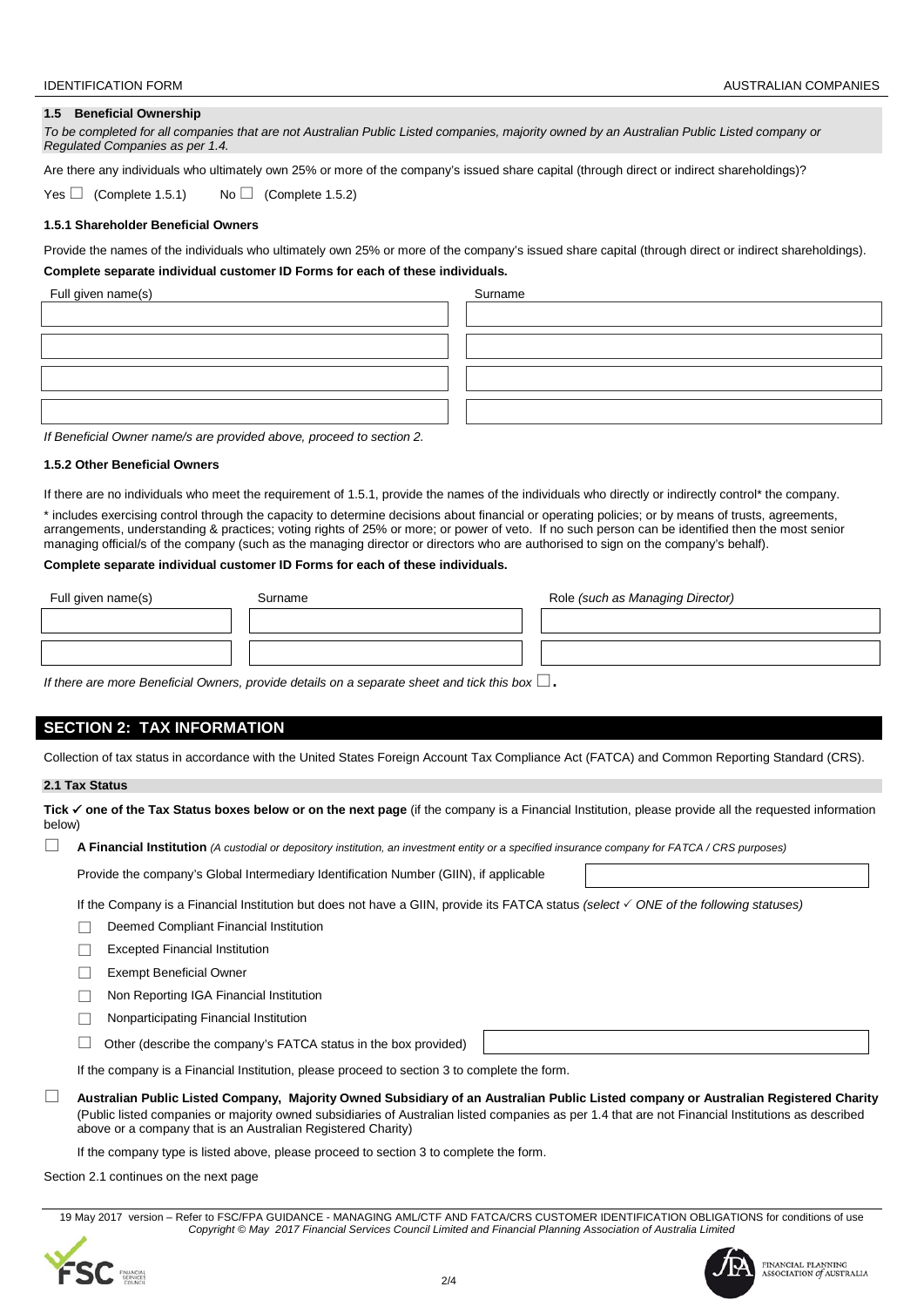#### **1.5 Beneficial Ownership**

*To be completed for all companies that are not Australian Public Listed companies, majority owned by an Australian Public Listed company or Regulated Companies as per 1.4.*

Are there any individuals who ultimately own 25% or more of the company's issued share capital (through direct or indirect shareholdings)?

Yes  $\Box$  (Complete 1.5.1) No  $\Box$  (Complete 1.5.2)

#### **1.5.1 Shareholder Beneficial Owners**

Provide the names of the individuals who ultimately own 25% or more of the company's issued share capital (through direct or indirect shareholdings). **Complete separate individual customer ID Forms for each of these individuals.**

| Full given name(s) | Surname |
|--------------------|---------|
|                    |         |
|                    |         |
|                    |         |
|                    |         |
|                    |         |

*If Beneficial Owner name/s are provided above, proceed to section 2.*

#### **1.5.2 Other Beneficial Owners**

If there are no individuals who meet the requirement of 1.5.1, provide the names of the individuals who directly or indirectly control\* the company.

\* includes exercising control through the capacity to determine decisions about financial or operating policies; or by means of trusts, agreements, arrangements, understanding & practices; voting rights of 25% or more; or power of veto. If no such person can be identified then the most senior managing official/s of the company (such as the managing director or directors who are authorised to sign on the company's behalf).

#### **Complete separate individual customer ID Forms for each of these individuals.**

| Full given name(s) | Surname | Role (such as Managing Director) |
|--------------------|---------|----------------------------------|
|                    |         |                                  |
|                    |         |                                  |

*If there are more Beneficial Owners, provide details on a separate sheet and tick this box*  $\Box$ .

# **SECTION 2: TAX INFORMATION**

Collection of tax status in accordance with the United States Foreign Account Tax Compliance Act (FATCA) and Common Reporting Standard (CRS).

#### **2.1 Tax Status**

|        |  |  |  | Tick √ one of the Tax Status boxes below or on the next page (if the company is a Financial Institution, please provide all the requested information |  |
|--------|--|--|--|-------------------------------------------------------------------------------------------------------------------------------------------------------|--|
| below) |  |  |  |                                                                                                                                                       |  |

**A Financial Institution** *(A custodial or depository institution, an investment entity or a specified insurance company for FATCA / CRS purposes)*

Provide the company's Global Intermediary Identification Number (GIIN), if applicable

If the Company is a Financial Institution but does not have a GIIN, provide its FATCA status *(select ONE of the following statuses)*

Deemed Compliant Financial Institution

- $\Box$  Excepted Financial Institution
- □ Exempt Beneficial Owner
- Non Reporting IGA Financial Institution
- Nonparticipating Financial Institution

 $\Box$  Other (describe the company's FATCA status in the box provided)

If the company is a Financial Institution, please proceed to section 3 to complete the form.

 **Australian Public Listed Company, Majority Owned Subsidiary of an Australian Public Listed company or Australian Registered Charity** (Public listed companies or majority owned subsidiaries of Australian listed companies as per 1.4 that are not Financial Institutions as described above or a company that is an Australian Registered Charity)

If the company type is listed above, please proceed to section 3 to complete the form.

Section 2.1 continues on the next page

19 May 2017 version – Refer to FSC/FPA GUIDANCE - MANAGING AML/CTF AND FATCA/CRS CUSTOMER IDENTIFICATION OBLIGATIONS for conditions of use *Copyright © May 2017 Financial Services Council Limited and Financial Planning Association of Australia Limited*

2/4





FINANCIAL PLANNING<br>ASSOCIATION of AUSTRALIA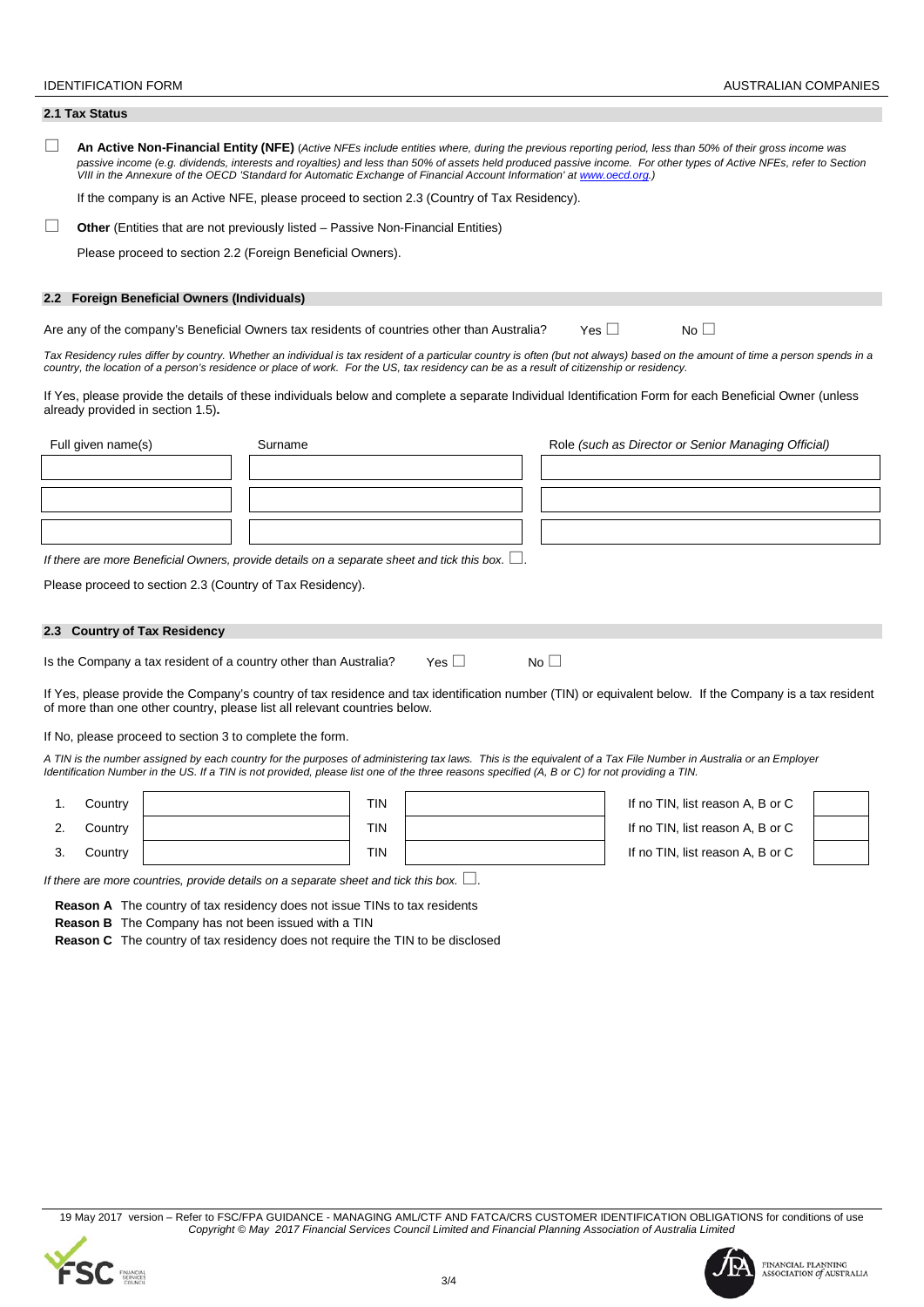#### **2.1 Tax Status**

 **An Active Non-Financial Entity (NFE)** (*Active NFEs include entities where, during the previous reporting period, less than 50% of their gross income was*  passive income (e.g. dividends, interests and royalties) and less than 50% of assets held produced passive income. For other types of Active NFEs, refer to Section *VIII in the Annexure of the OECD 'Standard for Automatic Exchange of Financial Account Information' a[t www.oecd.org.](http://www.oecd.org/))* 

If the company is an Active NFE, please proceed to section 2.3 (Country of Tax Residency).

**Other** (Entities that are not previously listed – Passive Non-Financial Entities)

Please proceed to section 2.2 (Foreign Beneficial Owners).

#### **2.2 Foreign Beneficial Owners (Individuals)**

Are any of the company's Beneficial Owners tax residents of countries other than Australia? Yes  $\square$  No  $\square$ 

Tax Residency rules differ by country. Whether an individual is tax resident of a particular country is often (but not always) based on the amount of time a person spends in a *country, the location of a person's residence or place of work. For the US, tax residency can be as a result of citizenship or residency.*

If Yes, please provide the details of these individuals below and complete a separate Individual Identification Form for each Beneficial Owner (unless already provided in section 1.5)**.**

| Full given name(s)                                                                                   | Surname | Role (such as Director or Senior Managing Official) |
|------------------------------------------------------------------------------------------------------|---------|-----------------------------------------------------|
|                                                                                                      |         |                                                     |
|                                                                                                      |         |                                                     |
|                                                                                                      |         |                                                     |
| If there are more Beneficial Owners, provide details on a separate sheet and tick this box. $\Box$ . |         |                                                     |
| Please proceed to section 2.3 (Country of Tax Residency).                                            |         |                                                     |
|                                                                                                      |         |                                                     |
| 2.3 Country of Tax Residency                                                                         |         |                                                     |

Is the Company a tax resident of a country other than Australia? Yes  $\Box$  No  $\Box$ 

If Yes, please provide the Company's country of tax residence and tax identification number (TIN) or equivalent below. If the Company is a tax resident of more than one other country, please list all relevant countries below.

If No, please proceed to section 3 to complete the form.

*A TIN is the number assigned by each country for the purposes of administering tax laws. This is the equivalent of a Tax File Number in Australia or an Employer Identification Number in the US. If a TIN is not provided, please list one of the three reasons specified (A, B or C) for not providing a TIN.*

| 1. | Country | TIN |  |
|----|---------|-----|--|
| 2. | Country | TIN |  |
| 3. | Country | TIN |  |



If no TIN, list reason A, B or C If no TIN, list reason A, B or C

If no TIN, list reason A, B or C

*If there are more countries, provide details on a separate sheet and tick this box..*

**Reason A** The country of tax residency does not issue TINs to tax residents

**Reason B** The Company has not been issued with a TIN

**Reason C** The country of tax residency does not require the TIN to be disclosed



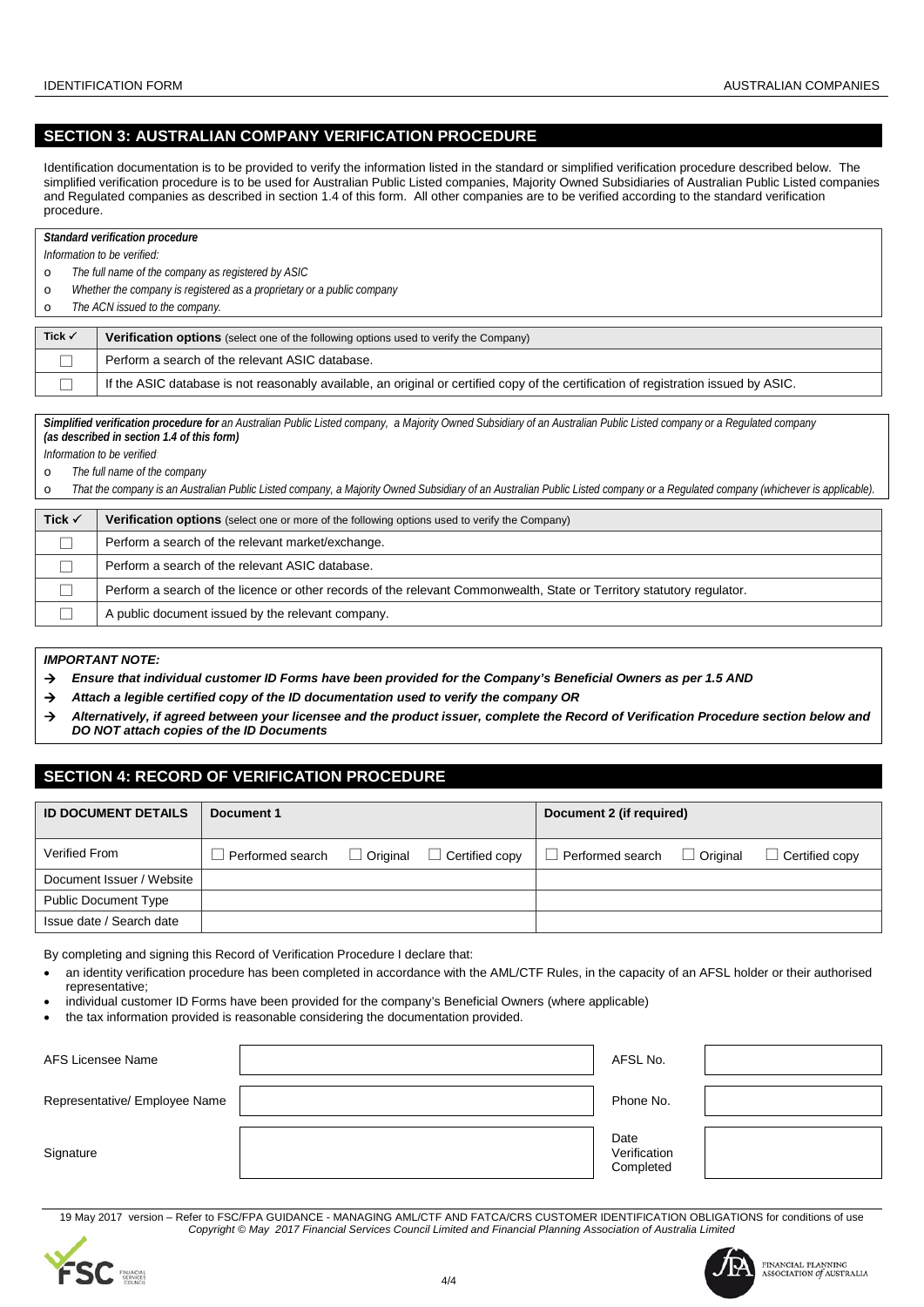# **SECTION 3: AUSTRALIAN COMPANY VERIFICATION PROCEDURE**

Identification documentation is to be provided to verify the information listed in the standard or simplified verification procedure described below. The simplified verification procedure is to be used for Australian Public Listed companies, Majority Owned Subsidiaries of Australian Public Listed companies and Regulated companies as described in section 1.4 of this form. All other companies are to be verified according to the standard verification procedure.

#### *Standard verification procedure*

*Information to be verified:* 

- o *The full name of the company as registered by ASIC*
- o *Whether the company is registered as a proprietary or a public company*
- o *The ACN issued to the company.*

| Tick √ | <b>Verification options</b> (select one of the following options used to verify the Company)                                         |
|--------|--------------------------------------------------------------------------------------------------------------------------------------|
|        | Perform a search of the relevant ASIC database.                                                                                      |
|        | If the ASIC database is not reasonably available, an original or certified copy of the certification of registration issued by ASIC. |

*Simplified verification procedure for an Australian Public Listed company, a Majority Owned Subsidiary of an Australian Public Listed company or a Regulated company (as described in section 1.4 of this form)*

*Information to be verified:* 

o *The full name of the company* 

o *That the company is an Australian Public Listed company, a Majority Owned Subsidiary of an Australian Public Listed company or a Regulated company (whichever is applicable).*

| Tick $\checkmark$ | <b>Verification options</b> (select one or more of the following options used to verify the Company)                   |
|-------------------|------------------------------------------------------------------------------------------------------------------------|
|                   | Perform a search of the relevant market/exchange.                                                                      |
|                   | Perform a search of the relevant ASIC database.                                                                        |
|                   | Perform a search of the licence or other records of the relevant Commonwealth, State or Territory statutory regulator. |
|                   | A public document issued by the relevant company.                                                                      |

#### *IMPORTANT NOTE:*

- *Ensure that individual customer ID Forms have been provided for the Company's Beneficial Owners as per 1.5 AND*
- *Attach a legible certified copy of the ID documentation used to verify the company OR*
- *Alternatively, if agreed between your licensee and the product issuer, complete the Record of Verification Procedure section below and DO NOT attach copies of the ID Documents*

# **SECTION 4: RECORD OF VERIFICATION PROCEDURE**

| <b>ID DOCUMENT DETAILS</b>  | Document 1              |                 |                       | Document 2 (if required) |                    |                       |
|-----------------------------|-------------------------|-----------------|-----------------------|--------------------------|--------------------|-----------------------|
| Verified From               | $\Box$ Performed search | $\Box$ Original | $\Box$ Certified copy | $\Box$ Performed search  | Original<br>$\Box$ | $\Box$ Certified copy |
| Document Issuer / Website   |                         |                 |                       |                          |                    |                       |
| <b>Public Document Type</b> |                         |                 |                       |                          |                    |                       |
| Issue date / Search date    |                         |                 |                       |                          |                    |                       |

By completing and signing this Record of Verification Procedure I declare that:

- an identity verification procedure has been completed in accordance with the AML/CTF Rules, in the capacity of an AFSL holder or their authorised representative;
- individual customer ID Forms have been provided for the company's Beneficial Owners (where applicable)
- the tax information provided is reasonable considering the documentation provided.

| AFSL No.                          |  |
|-----------------------------------|--|
|                                   |  |
| Phone No.                         |  |
|                                   |  |
| Date<br>Verification<br>Completed |  |
|                                   |  |



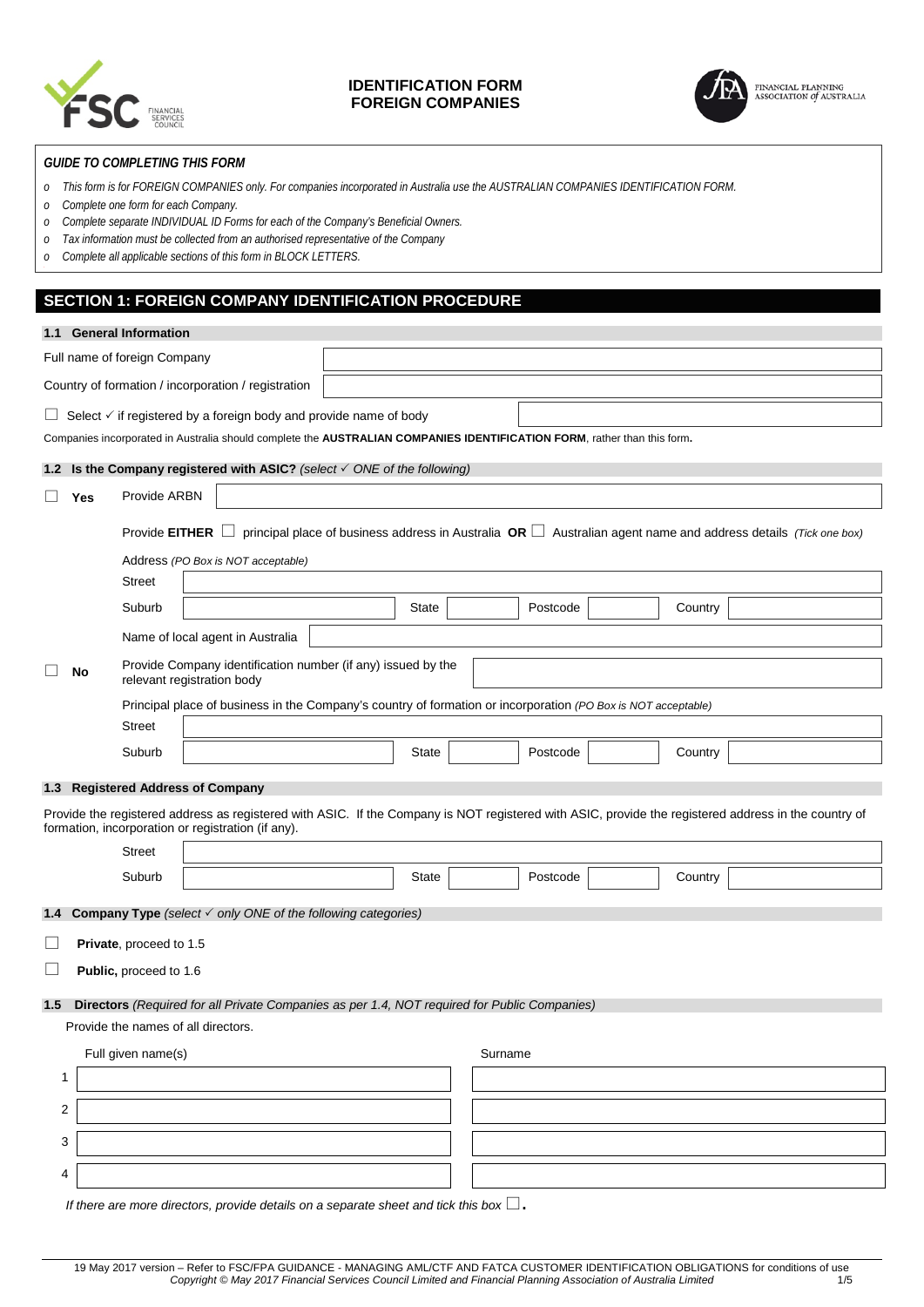

# **IDENTIFICATION FORM FOREIGN COMPANIES**



#### *GUIDE TO COMPLETING THIS FORM*

- *o This form is for FOREIGN COMPANIES only. For companies incorporated in Australia use the AUSTRALIAN COMPANIES IDENTIFICATION FORM.*
- *o Complete one form for each Company.*

```
o Complete separate INDIVIDUAL ID Forms for each of the Company's Beneficial Owners.
```
- *o Tax information must be collected from an authorised representative of the Company*
- *o Complete all applicable sections of this form in BLOCK LETTERS.*

# **SECTION 1: FOREIGN COMPANY IDENTIFICATION PROCEDURE**

#### **1.1 General Information**

Full name of foreign Company

Country of formation / incorporation / registration

 $\Box$  Select  $\checkmark$  if registered by a foreign body and provide name of body

Companies incorporated in Australia should complete the **AUSTRALIAN COMPANIES IDENTIFICATION FORM**, rather than this form**.** 

## **1.2 Is the Company registered with ASIC?** *(select ONE of the following)*

|        | Yes                                                                                                                                                  | Provide ARBN                        |                                                                                                               |  |              |  |          |         |                                                                                                                                           |
|--------|------------------------------------------------------------------------------------------------------------------------------------------------------|-------------------------------------|---------------------------------------------------------------------------------------------------------------|--|--------------|--|----------|---------|-------------------------------------------------------------------------------------------------------------------------------------------|
|        |                                                                                                                                                      |                                     |                                                                                                               |  |              |  |          |         | Provide EITHER $\Box$ principal place of business address in Australia OR $\Box$ Australian agent name and address details (Tick one box) |
|        |                                                                                                                                                      |                                     | Address (PO Box is NOT acceptable)                                                                            |  |              |  |          |         |                                                                                                                                           |
|        |                                                                                                                                                      | <b>Street</b>                       |                                                                                                               |  |              |  |          |         |                                                                                                                                           |
|        |                                                                                                                                                      | Suburb                              |                                                                                                               |  | <b>State</b> |  | Postcode | Country |                                                                                                                                           |
|        |                                                                                                                                                      |                                     | Name of local agent in Australia                                                                              |  |              |  |          |         |                                                                                                                                           |
| $\Box$ | No                                                                                                                                                   |                                     | Provide Company identification number (if any) issued by the<br>relevant registration body                    |  |              |  |          |         |                                                                                                                                           |
|        |                                                                                                                                                      |                                     | Principal place of business in the Company's country of formation or incorporation (PO Box is NOT acceptable) |  |              |  |          |         |                                                                                                                                           |
|        |                                                                                                                                                      | <b>Street</b>                       |                                                                                                               |  |              |  |          |         |                                                                                                                                           |
|        |                                                                                                                                                      | Suburb                              |                                                                                                               |  | <b>State</b> |  | Postcode | Country |                                                                                                                                           |
|        |                                                                                                                                                      |                                     | 1.3 Registered Address of Company                                                                             |  |              |  |          |         |                                                                                                                                           |
|        | Provide the registered address as registered with ASIC. If the Company is NOT registered with ASIC, provide the registered address in the country of |                                     |                                                                                                               |  |              |  |          |         |                                                                                                                                           |
|        |                                                                                                                                                      |                                     | formation, incorporation or registration (if any).                                                            |  |              |  |          |         |                                                                                                                                           |
|        |                                                                                                                                                      | <b>Street</b>                       |                                                                                                               |  |              |  |          |         |                                                                                                                                           |
|        |                                                                                                                                                      | Suburb                              |                                                                                                               |  | <b>State</b> |  | Postcode | Country |                                                                                                                                           |
|        |                                                                                                                                                      |                                     | <b>1.4 Company Type</b> (select $\checkmark$ only ONE of the following categories)                            |  |              |  |          |         |                                                                                                                                           |
| ⊔      |                                                                                                                                                      | Private, proceed to 1.5             |                                                                                                               |  |              |  |          |         |                                                                                                                                           |
| $\Box$ |                                                                                                                                                      | Public, proceed to 1.6              |                                                                                                               |  |              |  |          |         |                                                                                                                                           |
| 1.5    |                                                                                                                                                      |                                     | Directors (Required for all Private Companies as per 1.4, NOT required for Public Companies)                  |  |              |  |          |         |                                                                                                                                           |
|        |                                                                                                                                                      | Provide the names of all directors. |                                                                                                               |  |              |  |          |         |                                                                                                                                           |
|        |                                                                                                                                                      | Full given name(s)                  |                                                                                                               |  |              |  | Surname  |         |                                                                                                                                           |
| 1      |                                                                                                                                                      |                                     |                                                                                                               |  |              |  |          |         |                                                                                                                                           |
| 2      |                                                                                                                                                      |                                     |                                                                                                               |  |              |  |          |         |                                                                                                                                           |
| 3      |                                                                                                                                                      |                                     |                                                                                                               |  |              |  |          |         |                                                                                                                                           |
| 4      |                                                                                                                                                      |                                     |                                                                                                               |  |              |  |          |         |                                                                                                                                           |

*If there are more directors, provide details on a separate sheet and tick this box*  $\square$ .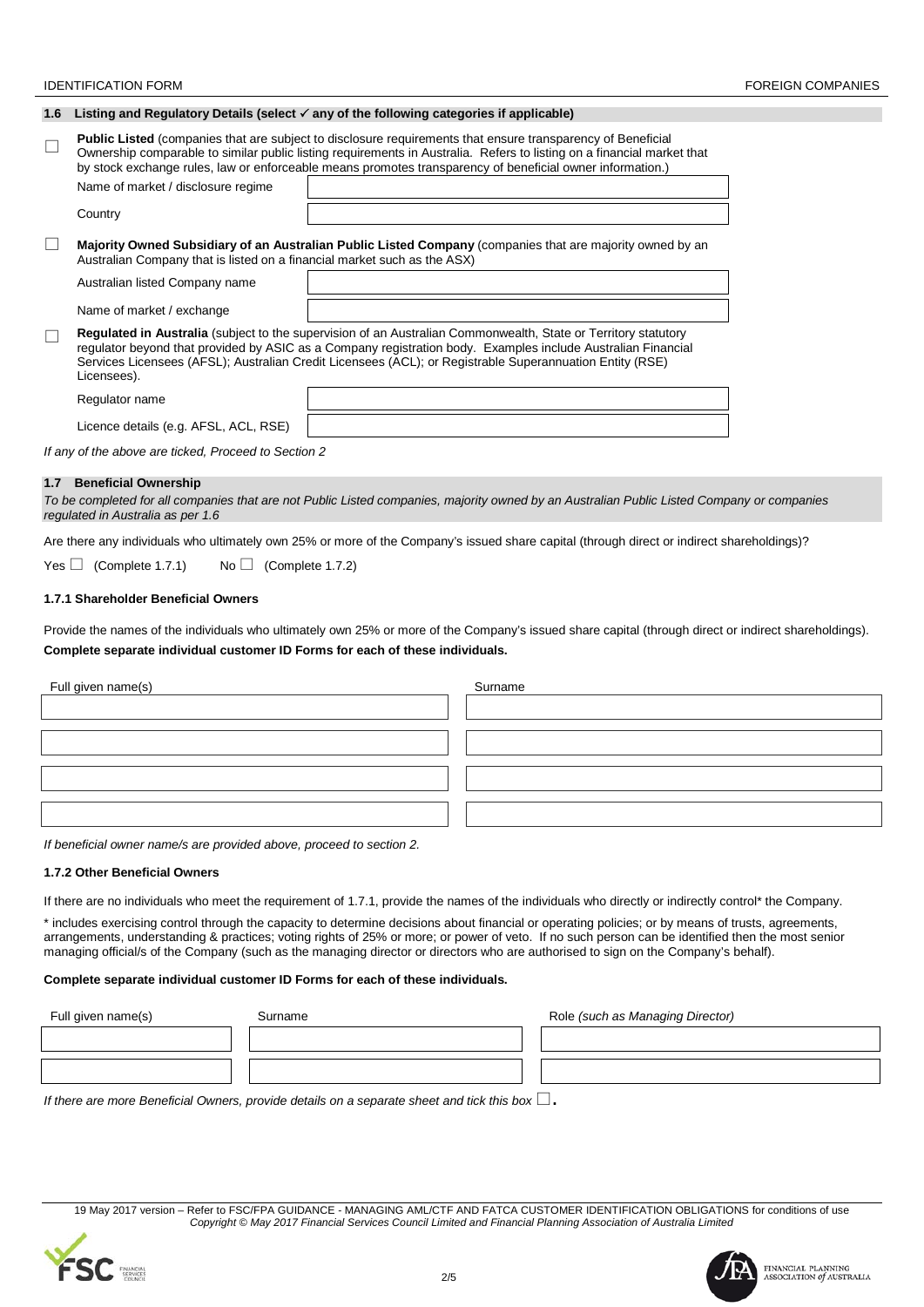#### IDENTIFICATION FORM **FOREIGN** COMPANIES

| 1.6 |                                                                                                                                                                                                                                                                                                                                                           | Listing and Regulatory Details (select $\checkmark$ any of the following categories if applicable)                                                                                                                                                                                                                                         |  |  |
|-----|-----------------------------------------------------------------------------------------------------------------------------------------------------------------------------------------------------------------------------------------------------------------------------------------------------------------------------------------------------------|--------------------------------------------------------------------------------------------------------------------------------------------------------------------------------------------------------------------------------------------------------------------------------------------------------------------------------------------|--|--|
|     | <b>Public Listed</b> (companies that are subject to disclosure requirements that ensure transparency of Beneficial<br>Ownership comparable to similar public listing requirements in Australia. Refers to listing on a financial market that<br>by stock exchange rules, law or enforceable means promotes transparency of beneficial owner information.) |                                                                                                                                                                                                                                                                                                                                            |  |  |
|     | Name of market / disclosure regime                                                                                                                                                                                                                                                                                                                        |                                                                                                                                                                                                                                                                                                                                            |  |  |
|     | Country                                                                                                                                                                                                                                                                                                                                                   |                                                                                                                                                                                                                                                                                                                                            |  |  |
|     | Australian Company that is listed on a financial market such as the ASX)                                                                                                                                                                                                                                                                                  | Majority Owned Subsidiary of an Australian Public Listed Company (companies that are majority owned by an                                                                                                                                                                                                                                  |  |  |
|     | Australian listed Company name                                                                                                                                                                                                                                                                                                                            |                                                                                                                                                                                                                                                                                                                                            |  |  |
|     | Name of market / exchange                                                                                                                                                                                                                                                                                                                                 |                                                                                                                                                                                                                                                                                                                                            |  |  |
|     | Licensees).                                                                                                                                                                                                                                                                                                                                               | Regulated in Australia (subject to the supervision of an Australian Commonwealth, State or Territory statutory<br>regulator beyond that provided by ASIC as a Company registration body. Examples include Australian Financial<br>Services Licensees (AFSL); Australian Credit Licensees (ACL); or Registrable Superannuation Entity (RSE) |  |  |
|     | Regulator name                                                                                                                                                                                                                                                                                                                                            |                                                                                                                                                                                                                                                                                                                                            |  |  |
|     | Licence details (e.g. AFSL, ACL, RSE)                                                                                                                                                                                                                                                                                                                     |                                                                                                                                                                                                                                                                                                                                            |  |  |
|     | If any of the above are ticked, Proceed to Section 2                                                                                                                                                                                                                                                                                                      |                                                                                                                                                                                                                                                                                                                                            |  |  |

#### **1.7 Beneficial Ownership**

*To be completed for all companies that are not Public Listed companies, majority owned by an Australian Public Listed Company or companies regulated in Australia as per 1.6*

Are there any individuals who ultimately own 25% or more of the Company's issued share capital (through direct or indirect shareholdings)?

Yes  $\Box$  (Complete 1.7.1) No  $\Box$  (Complete 1.7.2)

#### **1.7.1 Shareholder Beneficial Owners**

Provide the names of the individuals who ultimately own 25% or more of the Company's issued share capital (through direct or indirect shareholdings). **Complete separate individual customer ID Forms for each of these individuals.** 

| Full given name(s) | Surname |
|--------------------|---------|
|                    |         |
|                    |         |
|                    |         |
|                    |         |
|                    |         |
|                    |         |
|                    |         |

*If beneficial owner name/s are provided above, proceed to section 2.*

#### **1.7.2 Other Beneficial Owners**

If there are no individuals who meet the requirement of 1.7.1, provide the names of the individuals who directly or indirectly control\* the Company.

\* includes exercising control through the capacity to determine decisions about financial or operating policies; or by means of trusts, agreements, arrangements, understanding & practices; voting rights of 25% or more; or power of veto. If no such person can be identified then the most senior managing official/s of the Company (such as the managing director or directors who are authorised to sign on the Company's behalf).

## **Complete separate individual customer ID Forms for each of these individuals.**

| Full given name(s) | Surname | Role (such as Managing Director) |
|--------------------|---------|----------------------------------|
|                    |         |                                  |
|                    |         |                                  |
|                    |         |                                  |

*If there are more Beneficial Owners, provide details on a separate sheet and tick this box*  $\Box$ .



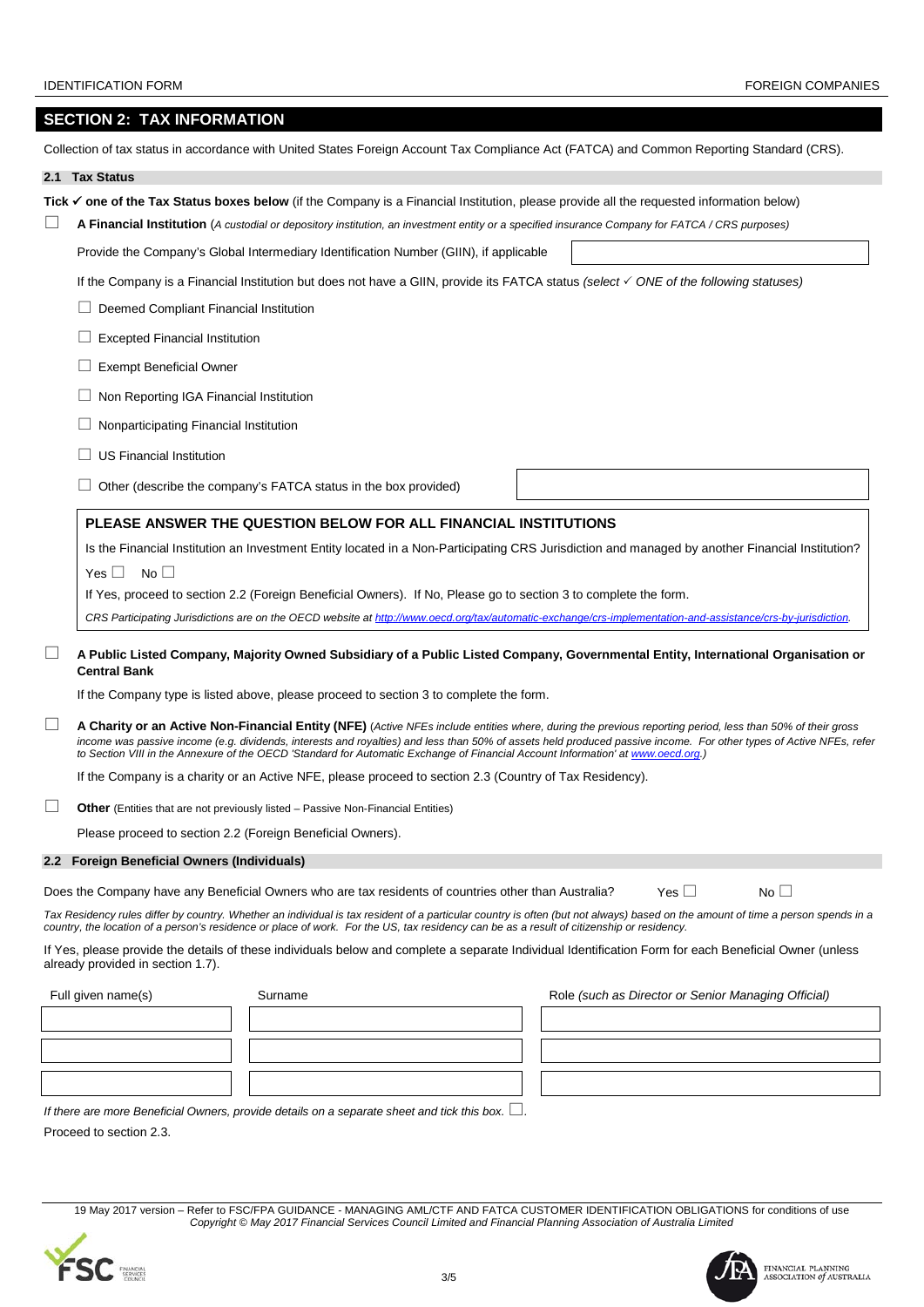# **SECTION 2: TAX INFORMATION**

|                                                                                                                                                                                                                                                                                                                              | Collection of tax status in accordance with United States Foreign Account Tax Compliance Act (FATCA) and Common Reporting Standard (CRS).                                                                                                                                                                                                                                                                                                                                   |  |  |  |  |  |
|------------------------------------------------------------------------------------------------------------------------------------------------------------------------------------------------------------------------------------------------------------------------------------------------------------------------------|-----------------------------------------------------------------------------------------------------------------------------------------------------------------------------------------------------------------------------------------------------------------------------------------------------------------------------------------------------------------------------------------------------------------------------------------------------------------------------|--|--|--|--|--|
| 2.1 Tax Status                                                                                                                                                                                                                                                                                                               |                                                                                                                                                                                                                                                                                                                                                                                                                                                                             |  |  |  |  |  |
|                                                                                                                                                                                                                                                                                                                              | Tick $\checkmark$ one of the Tax Status boxes below (if the Company is a Financial Institution, please provide all the requested information below)                                                                                                                                                                                                                                                                                                                         |  |  |  |  |  |
|                                                                                                                                                                                                                                                                                                                              | <b>A Financial Institution</b> (A custodial or depository institution, an investment entity or a specified insurance Company for FATCA / CRS purposes)                                                                                                                                                                                                                                                                                                                      |  |  |  |  |  |
| Provide the Company's Global Intermediary Identification Number (GIIN), if applicable                                                                                                                                                                                                                                        |                                                                                                                                                                                                                                                                                                                                                                                                                                                                             |  |  |  |  |  |
|                                                                                                                                                                                                                                                                                                                              | If the Company is a Financial Institution but does not have a GIIN, provide its FATCA status (select $\checkmark$ ONE of the following statuses)                                                                                                                                                                                                                                                                                                                            |  |  |  |  |  |
|                                                                                                                                                                                                                                                                                                                              | Deemed Compliant Financial Institution                                                                                                                                                                                                                                                                                                                                                                                                                                      |  |  |  |  |  |
|                                                                                                                                                                                                                                                                                                                              | <b>Excepted Financial Institution</b>                                                                                                                                                                                                                                                                                                                                                                                                                                       |  |  |  |  |  |
|                                                                                                                                                                                                                                                                                                                              | <b>Exempt Beneficial Owner</b>                                                                                                                                                                                                                                                                                                                                                                                                                                              |  |  |  |  |  |
|                                                                                                                                                                                                                                                                                                                              | Non Reporting IGA Financial Institution                                                                                                                                                                                                                                                                                                                                                                                                                                     |  |  |  |  |  |
|                                                                                                                                                                                                                                                                                                                              | Nonparticipating Financial Institution                                                                                                                                                                                                                                                                                                                                                                                                                                      |  |  |  |  |  |
|                                                                                                                                                                                                                                                                                                                              | <b>US Financial Institution</b>                                                                                                                                                                                                                                                                                                                                                                                                                                             |  |  |  |  |  |
|                                                                                                                                                                                                                                                                                                                              | Other (describe the company's FATCA status in the box provided)                                                                                                                                                                                                                                                                                                                                                                                                             |  |  |  |  |  |
|                                                                                                                                                                                                                                                                                                                              | PLEASE ANSWER THE QUESTION BELOW FOR ALL FINANCIAL INSTITUTIONS                                                                                                                                                                                                                                                                                                                                                                                                             |  |  |  |  |  |
|                                                                                                                                                                                                                                                                                                                              | Is the Financial Institution an Investment Entity located in a Non-Participating CRS Jurisdiction and managed by another Financial Institution?                                                                                                                                                                                                                                                                                                                             |  |  |  |  |  |
|                                                                                                                                                                                                                                                                                                                              | $No$ $\Box$<br>Yes $\Box$                                                                                                                                                                                                                                                                                                                                                                                                                                                   |  |  |  |  |  |
|                                                                                                                                                                                                                                                                                                                              | If Yes, proceed to section 2.2 (Foreign Beneficial Owners). If No, Please go to section 3 to complete the form.                                                                                                                                                                                                                                                                                                                                                             |  |  |  |  |  |
|                                                                                                                                                                                                                                                                                                                              | CRS Participating Jurisdictions are on the OECD website at http://www.oecd.org/tax/automatic-exchange/crs-implementation-and-assistance/crs-by-jurisdiction.                                                                                                                                                                                                                                                                                                                |  |  |  |  |  |
|                                                                                                                                                                                                                                                                                                                              | A Public Listed Company, Majority Owned Subsidiary of a Public Listed Company, Governmental Entity, International Organisation or<br><b>Central Bank</b>                                                                                                                                                                                                                                                                                                                    |  |  |  |  |  |
|                                                                                                                                                                                                                                                                                                                              | If the Company type is listed above, please proceed to section 3 to complete the form.                                                                                                                                                                                                                                                                                                                                                                                      |  |  |  |  |  |
|                                                                                                                                                                                                                                                                                                                              | <b>A Charity or an Active Non-Financial Entity (NFE)</b> (Active NFEs include entities where, during the previous reporting period, less than 50% of their gross<br>income was passive income (e.g. dividends, interests and royalties) and less than 50% of assets held produced passive income. For other types of Active NFEs, refer<br>to Section VIII in the Annexure of the OECD 'Standard for Automatic Exchange of Financial Account Information' at www.oecd.org.) |  |  |  |  |  |
|                                                                                                                                                                                                                                                                                                                              | If the Company is a charity or an Active NFE, please proceed to section 2.3 (Country of Tax Residency).                                                                                                                                                                                                                                                                                                                                                                     |  |  |  |  |  |
|                                                                                                                                                                                                                                                                                                                              | <b>Other</b> (Entities that are not previously listed – Passive Non-Financial Entities)                                                                                                                                                                                                                                                                                                                                                                                     |  |  |  |  |  |
|                                                                                                                                                                                                                                                                                                                              | Please proceed to section 2.2 (Foreign Beneficial Owners).                                                                                                                                                                                                                                                                                                                                                                                                                  |  |  |  |  |  |
|                                                                                                                                                                                                                                                                                                                              | 2.2 Foreign Beneficial Owners (Individuals)                                                                                                                                                                                                                                                                                                                                                                                                                                 |  |  |  |  |  |
|                                                                                                                                                                                                                                                                                                                              | No<br>Yes $\Box$<br>Does the Company have any Beneficial Owners who are tax residents of countries other than Australia?                                                                                                                                                                                                                                                                                                                                                    |  |  |  |  |  |
| Tax Residency rules differ by country. Whether an individual is tax resident of a particular country is often (but not always) based on the amount of time a person spends in a<br>country, the location of a person's residence or place of work. For the US, tax residency can be as a result of citizenship or residency. |                                                                                                                                                                                                                                                                                                                                                                                                                                                                             |  |  |  |  |  |
| If Yes, please provide the details of these individuals below and complete a separate Individual Identification Form for each Beneficial Owner (unless<br>already provided in section 1.7).                                                                                                                                  |                                                                                                                                                                                                                                                                                                                                                                                                                                                                             |  |  |  |  |  |
| Full given name(s)<br>Role (such as Director or Senior Managing Official)<br>Surname                                                                                                                                                                                                                                         |                                                                                                                                                                                                                                                                                                                                                                                                                                                                             |  |  |  |  |  |
|                                                                                                                                                                                                                                                                                                                              |                                                                                                                                                                                                                                                                                                                                                                                                                                                                             |  |  |  |  |  |
|                                                                                                                                                                                                                                                                                                                              |                                                                                                                                                                                                                                                                                                                                                                                                                                                                             |  |  |  |  |  |
|                                                                                                                                                                                                                                                                                                                              |                                                                                                                                                                                                                                                                                                                                                                                                                                                                             |  |  |  |  |  |

*If there are more Beneficial Owners, provide details on a separate sheet and tick this box..*  Proceed to section 2.3.

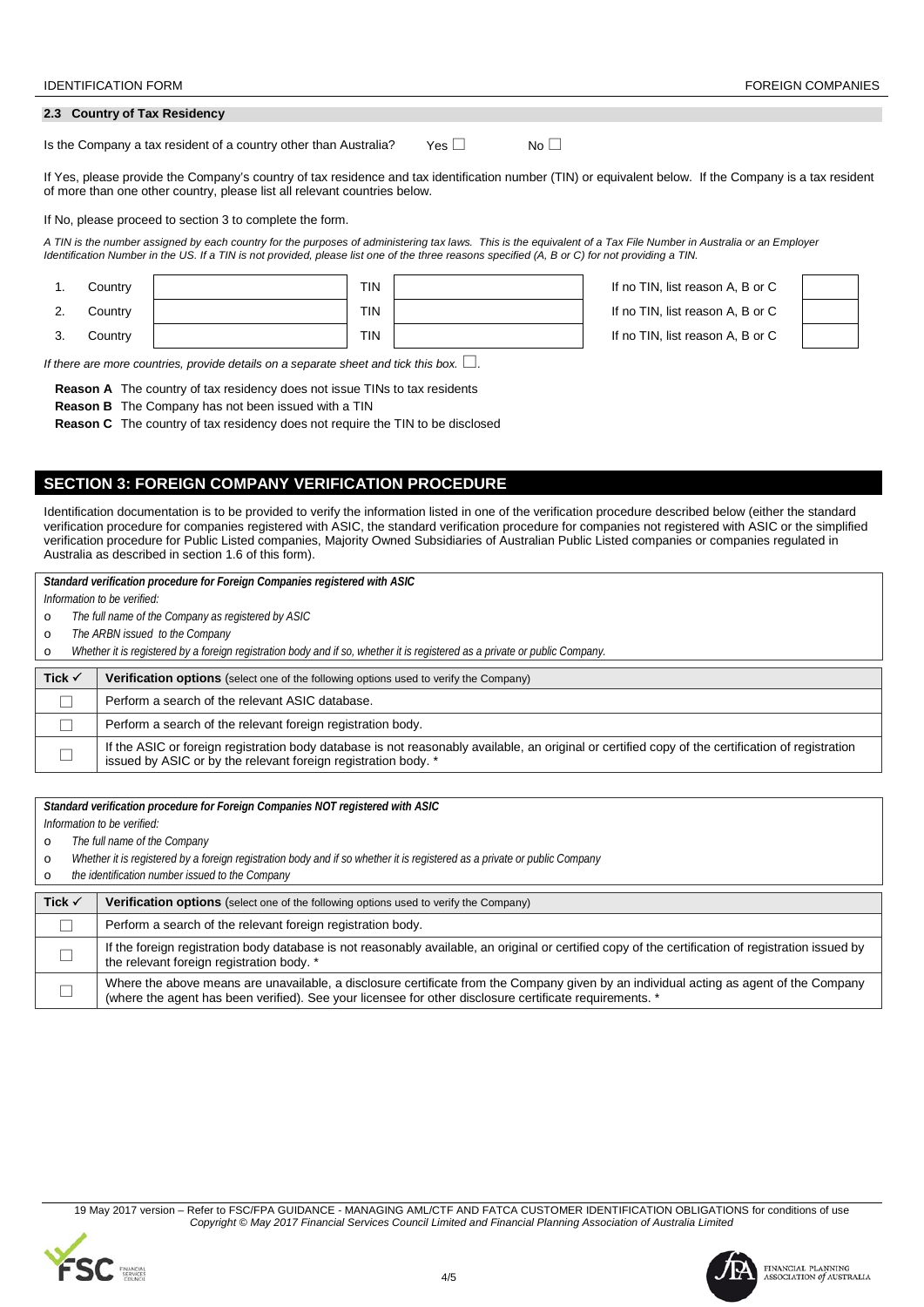#### IDENTIFICATION FORM **FOREIGN** COMPANIES

Is the Company a tax resident of a country other than Australia? Yes  $\Box$  No  $\Box$ 

If Yes, please provide the Company's country of tax residence and tax identification number (TIN) or equivalent below. If the Company is a tax resident of more than one other country, please list all relevant countries below.

If No, please proceed to section 3 to complete the form.

*A TIN is the number assigned by each country for the purposes of administering tax laws. This is the equivalent of a Tax File Number in Australia or an Employer Identification Number in the US. If a TIN is not provided, please list one of the three reasons specified (A, B or C) for not providing a TIN.*



*If there are more countries, provide details on a separate sheet and tick this box..*

**Reason A** The country of tax residency does not issue TINs to tax residents

**Reason B** The Company has not been issued with a TIN

**Reason C** The country of tax residency does not require the TIN to be disclosed

# **SECTION 3: FOREIGN COMPANY VERIFICATION PROCEDURE**

Identification documentation is to be provided to verify the information listed in one of the verification procedure described below (either the standard verification procedure for companies registered with ASIC, the standard verification procedure for companies not registered with ASIC or the simplified verification procedure for Public Listed companies, Majority Owned Subsidiaries of Australian Public Listed companies or companies regulated in Australia as described in section 1.6 of this form).

|                                                                                                                                                                                                                     | Standard verification procedure for Foreign Companies registered with ASIC                                                  |  |  |  |  |
|---------------------------------------------------------------------------------------------------------------------------------------------------------------------------------------------------------------------|-----------------------------------------------------------------------------------------------------------------------------|--|--|--|--|
|                                                                                                                                                                                                                     | Information to be verified:                                                                                                 |  |  |  |  |
| $\circ$                                                                                                                                                                                                             | The full name of the Company as registered by ASIC                                                                          |  |  |  |  |
| $\circ$                                                                                                                                                                                                             | The ARBN issued to the Company                                                                                              |  |  |  |  |
| $\circ$                                                                                                                                                                                                             | Whether it is registered by a foreign registration body and if so, whether it is registered as a private or public Company. |  |  |  |  |
| Tick $\checkmark$                                                                                                                                                                                                   | <b>Verification options</b> (select one of the following options used to verify the Company)                                |  |  |  |  |
|                                                                                                                                                                                                                     |                                                                                                                             |  |  |  |  |
|                                                                                                                                                                                                                     | Perform a search of the relevant ASIC database.                                                                             |  |  |  |  |
|                                                                                                                                                                                                                     | Perform a search of the relevant foreign registration body.                                                                 |  |  |  |  |
| If the ASIC or foreign registration body database is not reasonably available, an original or certified copy of the certification of registration<br>issued by ASIC or by the relevant foreign registration body. * |                                                                                                                             |  |  |  |  |
|                                                                                                                                                                                                                     |                                                                                                                             |  |  |  |  |
|                                                                                                                                                                                                                     | Standard verification procedure for Foreign Companies NOT registered with ASIC                                              |  |  |  |  |
|                                                                                                                                                                                                                     | Information to be verified:                                                                                                 |  |  |  |  |

o *The full name of the Company* 

o *Whether it is registered by a foreign registration body and if so whether it is registered as a private or public Company*

o *the identification number issued to the Company*

| Tick $\checkmark$ | <b>Verification options</b> (select one of the following options used to verify the Company)                                                                                                                                                      |
|-------------------|---------------------------------------------------------------------------------------------------------------------------------------------------------------------------------------------------------------------------------------------------|
|                   | Perform a search of the relevant foreign registration body.                                                                                                                                                                                       |
|                   | If the foreign registration body database is not reasonably available, an original or certified copy of the certification of registration issued by<br>the relevant foreign registration body. *                                                  |
|                   | Where the above means are unavailable, a disclosure certificate from the Company given by an individual acting as agent of the Company<br>(where the agent has been verified). See your licensee for other disclosure certificate requirements. * |



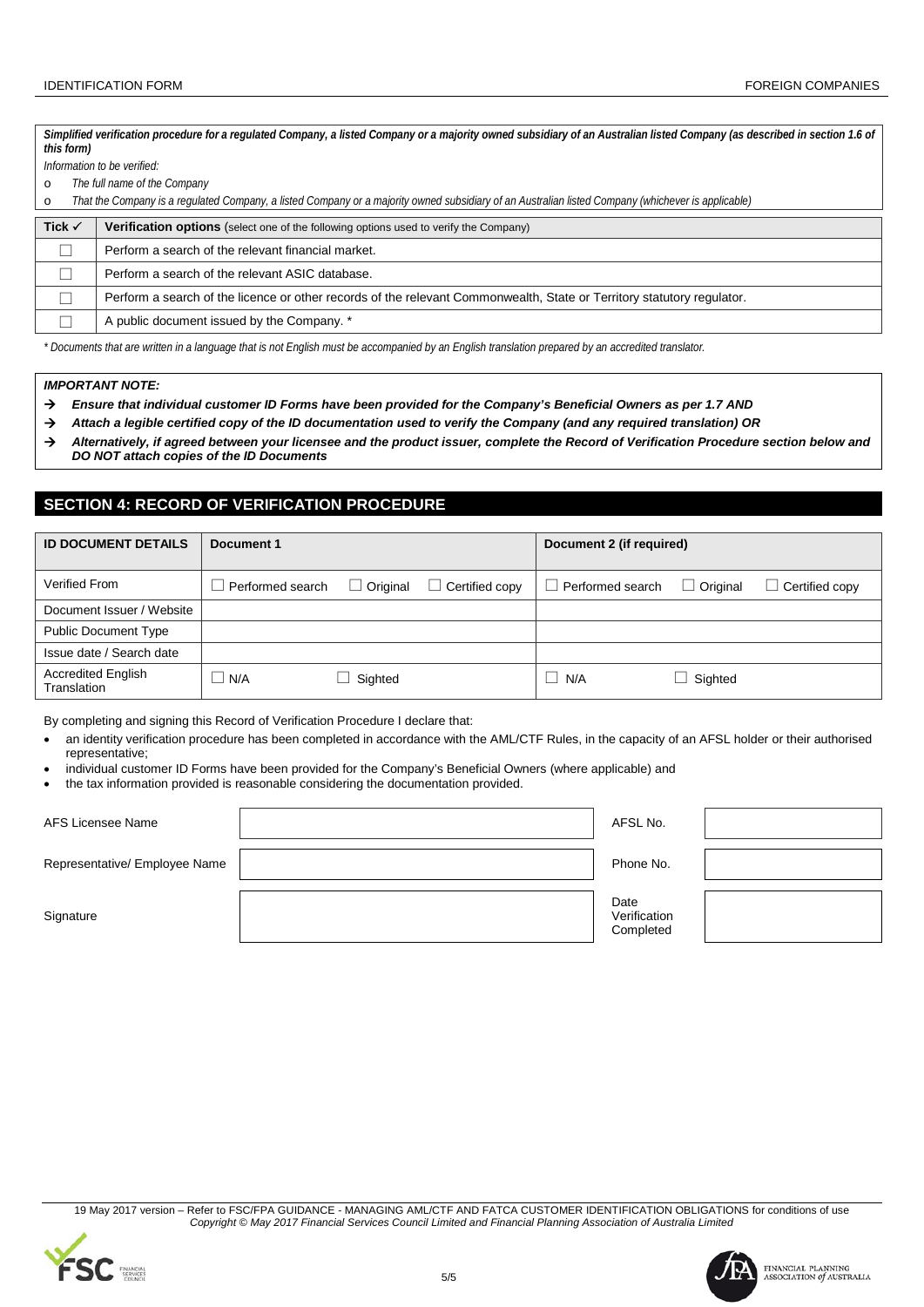*Simplified verification procedure for a regulated Company, a listed Company or a majority owned subsidiary of an Australian listed Company (as described in section 1.6 of this form) Information to be verified:*

o *The full name of the Company* 

o *That the Company is a regulated Company, a listed Company or a majority owned subsidiary of an Australian listed Company (whichever is applicable)*

| Tick $\checkmark$ | <b>Verification options</b> (select one of the following options used to verify the Company)                           |
|-------------------|------------------------------------------------------------------------------------------------------------------------|
|                   | Perform a search of the relevant financial market.                                                                     |
|                   | Perform a search of the relevant ASIC database.                                                                        |
|                   | Perform a search of the licence or other records of the relevant Commonwealth, State or Territory statutory regulator. |
|                   | A public document issued by the Company. *                                                                             |

*\* Documents that are written in a language that is not English must be accompanied by an English translation prepared by an accredited translator.* 

#### *IMPORTANT NOTE:*

- *Ensure that individual customer ID Forms have been provided for the Company's Beneficial Owners as per 1.7 AND*
- *Attach a legible certified copy of the ID documentation used to verify the Company (and any required translation) OR*
- *Alternatively, if agreed between your licensee and the product issuer, complete the Record of Verification Procedure section below and DO NOT attach copies of the ID Documents*

## **SECTION 4: RECORD OF VERIFICATION PROCEDURE**

| <b>ID DOCUMENT DETAILS</b>               | Document 1       |                 |                       | Document 2 (if required)    |               |                |
|------------------------------------------|------------------|-----------------|-----------------------|-----------------------------|---------------|----------------|
| Verified From                            | Performed search | $\Box$ Original | $\Box$ Certified copy | Performed search<br>$\perp$ | Original<br>⊔ | Certified copy |
| Document Issuer / Website                |                  |                 |                       |                             |               |                |
| <b>Public Document Type</b>              |                  |                 |                       |                             |               |                |
| Issue date / Search date                 |                  |                 |                       |                             |               |                |
| <b>Accredited English</b><br>Translation | ⊿ N/A            | Sighted         |                       | N/A<br>$\mathbf{1}$         | Sighted       |                |

By completing and signing this Record of Verification Procedure I declare that:

• an identity verification procedure has been completed in accordance with the AML/CTF Rules, in the capacity of an AFSL holder or their authorised representative;

- individual customer ID Forms have been provided for the Company's Beneficial Owners (where applicable) and
- the tax information provided is reasonable considering the documentation provided.

| AFS Licensee Name             | AFSL No.                          |  |
|-------------------------------|-----------------------------------|--|
| Representative/ Employee Name | Phone No.                         |  |
| Signature                     | Date<br>Verification<br>Completed |  |

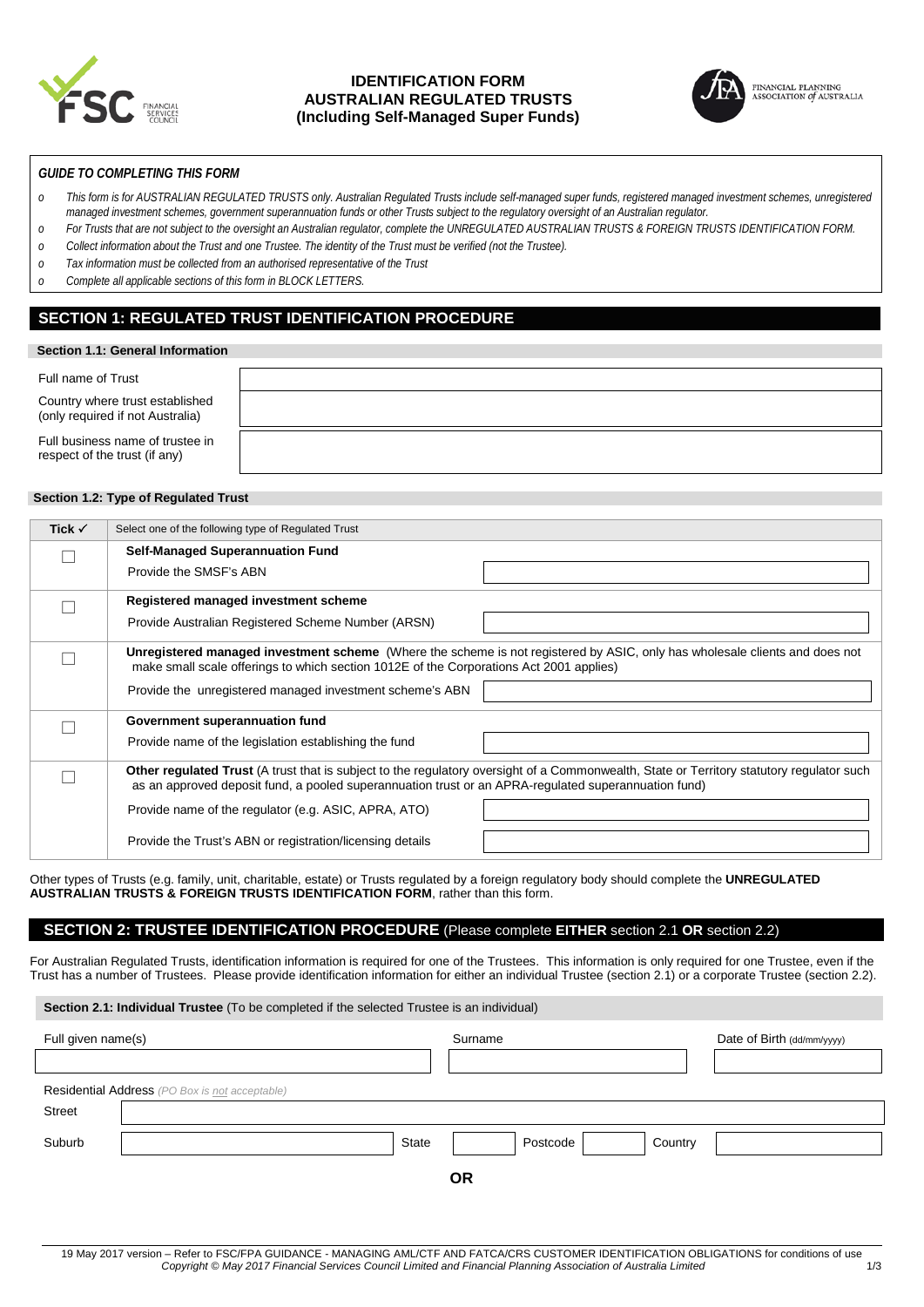

# **IDENTIFICATION FORM AUSTRALIAN REGULATED TRUSTS (Including Self-Managed Super Funds)**



#### *GUIDE TO COMPLETING THIS FORM*

- *o This form is for AUSTRALIAN REGULATED TRUSTS only. Australian Regulated Trusts include self-managed super funds, registered managed investment schemes, unregistered managed investment schemes, government superannuation funds or other Trusts subject to the regulatory oversight of an Australian regulator.*
- *o For Trusts that are not subject to the oversight an Australian regulator, complete the UNREGULATED AUSTRALIAN TRUSTS & FOREIGN TRUSTS IDENTIFICATION FORM.*
- *o Collect information about the Trust and one Trustee. The identity of the Trust must be verified (not the Trustee).*
- *o Tax information must be collected from an authorised representative of the Trust*
- *o Complete all applicable sections of this form in BLOCK LETTERS.*

# **SECTION 1: REGULATED TRUST IDENTIFICATION PROCEDURE**

#### **Section 1.1: General Information**

| <b>Full name of Trust</b> |  |
|---------------------------|--|
|                           |  |

| Full name of Trust                                                  |  |
|---------------------------------------------------------------------|--|
| Country where trust established<br>(only required if not Australia) |  |
| Full business name of trustee in<br>respect of the trust (if any)   |  |

#### **Section 1.2: Type of Regulated Trust**

| Tick $\checkmark$ | Select one of the following type of Regulated Trust                                                                                                                                                                                               |
|-------------------|---------------------------------------------------------------------------------------------------------------------------------------------------------------------------------------------------------------------------------------------------|
|                   | <b>Self-Managed Superannuation Fund</b>                                                                                                                                                                                                           |
|                   | Provide the SMSF's ABN                                                                                                                                                                                                                            |
|                   | Registered managed investment scheme                                                                                                                                                                                                              |
|                   | Provide Australian Registered Scheme Number (ARSN)                                                                                                                                                                                                |
|                   | Unregistered managed investment scheme (Where the scheme is not registered by ASIC, only has wholesale clients and does not<br>make small scale offerings to which section 1012E of the Corporations Act 2001 applies)                            |
|                   | Provide the unregistered managed investment scheme's ABN                                                                                                                                                                                          |
|                   | Government superannuation fund                                                                                                                                                                                                                    |
|                   | Provide name of the legislation establishing the fund                                                                                                                                                                                             |
|                   | Other regulated Trust (A trust that is subject to the regulatory oversight of a Commonwealth, State or Territory statutory regulator such<br>as an approved deposit fund, a pooled superannuation trust or an APRA-regulated superannuation fund) |
|                   | Provide name of the regulator (e.g. ASIC, APRA, ATO)                                                                                                                                                                                              |
|                   | Provide the Trust's ABN or registration/licensing details                                                                                                                                                                                         |

Other types of Trusts (e.g. family, unit, charitable, estate) or Trusts regulated by a foreign regulatory body should complete the **UNREGULATED AUSTRALIAN TRUSTS & FOREIGN TRUSTS IDENTIFICATION FORM**, rather than this form.

# **SECTION 2: TRUSTEE IDENTIFICATION PROCEDURE** (Please complete **EITHER** section 2.1 **OR** section 2.2)

For Australian Regulated Trusts, identification information is required for one of the Trustees. This information is only required for one Trustee, even if the Trust has a number of Trustees. Please provide identification information for either an individual Trustee (section 2.1) or a corporate Trustee (section 2.2).

#### **Section 2.1: Individual Trustee** (To be completed if the selected Trustee is an individual)

| Full given name(s)                             | Surname             | Date of Birth (dd/mm/yyyy) |
|------------------------------------------------|---------------------|----------------------------|
|                                                |                     |                            |
| Residential Address (PO Box is not acceptable) |                     |                            |
| <b>Street</b>                                  |                     |                            |
| Suburb<br><b>State</b>                         | Postcode<br>Country |                            |
|                                                | ΟR                  |                            |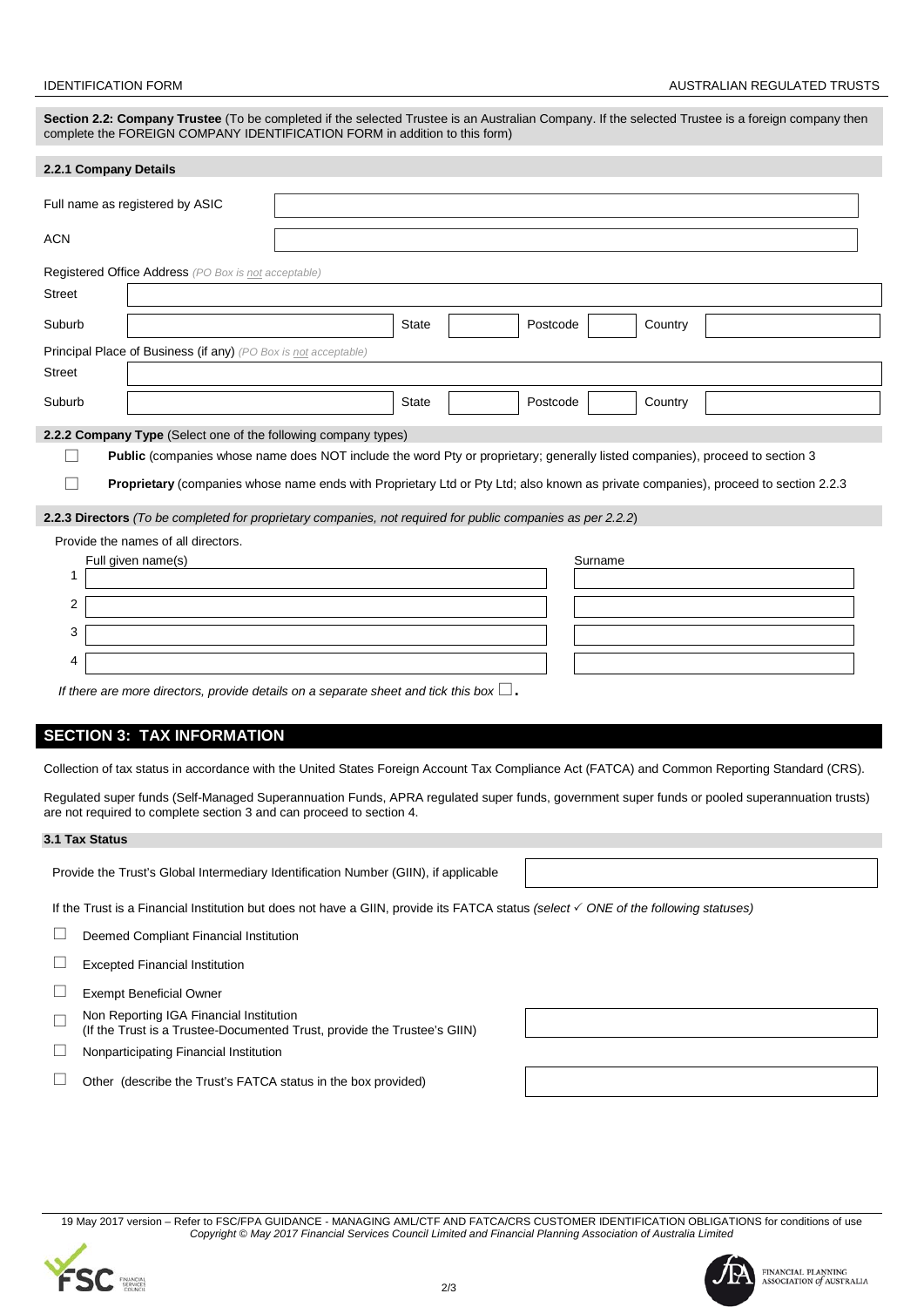| Section 2.2: Company Trustee (To be completed if the selected Trustee is an Australian Company. If the selected Trustee is a foreign company then<br>complete the FOREIGN COMPANY IDENTIFICATION FORM in addition to this form)                                                                                                                                                                                                                                                                                                                                                                                                                   |  |              |  |          |         |  |
|---------------------------------------------------------------------------------------------------------------------------------------------------------------------------------------------------------------------------------------------------------------------------------------------------------------------------------------------------------------------------------------------------------------------------------------------------------------------------------------------------------------------------------------------------------------------------------------------------------------------------------------------------|--|--------------|--|----------|---------|--|
| 2.2.1 Company Details                                                                                                                                                                                                                                                                                                                                                                                                                                                                                                                                                                                                                             |  |              |  |          |         |  |
| Full name as registered by ASIC                                                                                                                                                                                                                                                                                                                                                                                                                                                                                                                                                                                                                   |  |              |  |          |         |  |
| <b>ACN</b>                                                                                                                                                                                                                                                                                                                                                                                                                                                                                                                                                                                                                                        |  |              |  |          |         |  |
| Registered Office Address (PO Box is not acceptable)<br><b>Street</b>                                                                                                                                                                                                                                                                                                                                                                                                                                                                                                                                                                             |  |              |  |          |         |  |
| Suburb                                                                                                                                                                                                                                                                                                                                                                                                                                                                                                                                                                                                                                            |  | <b>State</b> |  | Postcode | Country |  |
| Principal Place of Business (if any) (PO Box is not acceptable)                                                                                                                                                                                                                                                                                                                                                                                                                                                                                                                                                                                   |  |              |  |          |         |  |
| <b>Street</b>                                                                                                                                                                                                                                                                                                                                                                                                                                                                                                                                                                                                                                     |  |              |  |          |         |  |
| Suburb                                                                                                                                                                                                                                                                                                                                                                                                                                                                                                                                                                                                                                            |  | <b>State</b> |  | Postcode | Country |  |
| 2.2.2 Company Type (Select one of the following company types)<br>Public (companies whose name does NOT include the word Pty or proprietary; generally listed companies), proceed to section 3<br>Proprietary (companies whose name ends with Proprietary Ltd or Pty Ltd; also known as private companies), proceed to section 2.2.3<br>2.2.3 Directors (To be completed for proprietary companies, not required for public companies as per 2.2.2)<br>Provide the names of all directors.<br>Full given name(s)<br>Surname<br>1<br>2<br>3<br>4<br>If there are more directors, provide details on a separate sheet and tick this box $\square$ . |  |              |  |          |         |  |
| <b>SECTION 3: TAX INFORMATION</b><br>Collection of tax status in accordance with the United States Foreign Account Tax Compliance Act (FATCA) and Common Reporting Standard (CRS).<br>Regulated super funds (Self-Managed Superannuation Funds, APRA regulated super funds, government super funds or pooled superannuation trusts)<br>are not required to complete section 3 and can proceed to section 4.                                                                                                                                                                                                                                       |  |              |  |          |         |  |
| 3.1 Tax Status                                                                                                                                                                                                                                                                                                                                                                                                                                                                                                                                                                                                                                    |  |              |  |          |         |  |
| Provide the Trust's Global Intermediary Identification Number (GIIN), if applicable                                                                                                                                                                                                                                                                                                                                                                                                                                                                                                                                                               |  |              |  |          |         |  |
| If the Trust is a Financial Institution but does not have a GIIN, provide its FATCA status (select $\checkmark$ ONE of the following statuses)                                                                                                                                                                                                                                                                                                                                                                                                                                                                                                    |  |              |  |          |         |  |
| Deemed Compliant Financial Institution                                                                                                                                                                                                                                                                                                                                                                                                                                                                                                                                                                                                            |  |              |  |          |         |  |
| <b>Excepted Financial Institution</b>                                                                                                                                                                                                                                                                                                                                                                                                                                                                                                                                                                                                             |  |              |  |          |         |  |

- Exempt Beneficial Owner
- Non Reporting IGA Financial Institution
- (If the Trust is a Trustee-Documented Trust, provide the Trustee's GIIN)
- **Nonparticipating Financial Institution**
- Other (describe the Trust's FATCA status in the box provided)



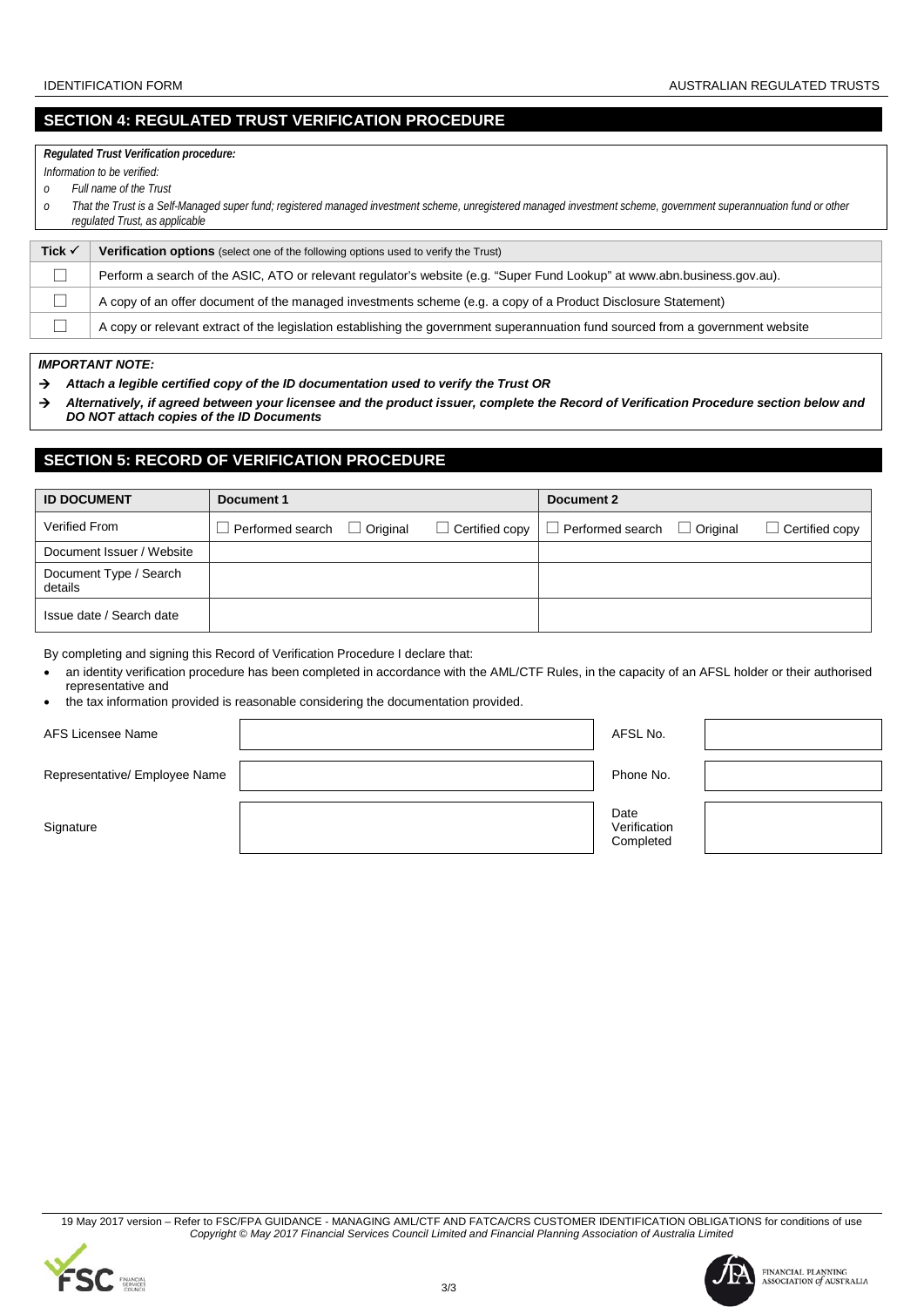# **SECTION 4: REGULATED TRUST VERIFICATION PROCEDURE**

#### *Regulated Trust Verification procedure:*

*Information to be verified:*

- *o Full name of the Trust*
- *o That the Trust is a Self-Managed super fund; registered managed investment scheme, unregistered managed investment scheme, government superannuation fund or other regulated Trust, as applicable*

| Tick √ | <b>Verification options</b> (select one of the following options used to verify the Trust)                                      |  |
|--------|---------------------------------------------------------------------------------------------------------------------------------|--|
|        | Perform a search of the ASIC, ATO or relevant regulator's website (e.g. "Super Fund Lookup" at www.abn.business.gov.au).        |  |
|        | A copy of an offer document of the managed investments scheme (e.g. a copy of a Product Disclosure Statement)                   |  |
|        | A copy or relevant extract of the legislation establishing the government superannuation fund sourced from a government website |  |

#### *IMPORTANT NOTE:*

- *Attach a legible certified copy of the ID documentation used to verify the Trust OR*
- *Alternatively, if agreed between your licensee and the product issuer, complete the Record of Verification Procedure section below and DO NOT attach copies of the ID Documents*

# **SECTION 5: RECORD OF VERIFICATION PROCEDURE**

| <b>ID DOCUMENT</b>                | Document 1                          | Document 2                                                    |                |
|-----------------------------------|-------------------------------------|---------------------------------------------------------------|----------------|
| Verified From                     | $\Box$ Original<br>Performed search | $\Box$ Certified copy $\Box$ Performed search $\Box$ Original | Certified copy |
| Document Issuer / Website         |                                     |                                                               |                |
| Document Type / Search<br>details |                                     |                                                               |                |
| Issue date / Search date          |                                     |                                                               |                |

By completing and signing this Record of Verification Procedure I declare that:

- an identity verification procedure has been completed in accordance with the AML/CTF Rules, in the capacity of an AFSL holder or their authorised representative and
- the tax information provided is reasonable considering the documentation provided.

#### AFS Licensee Name AFSL No. AFSL No.

**Signature** 

Representative/ Employee Name Phone No. 2012 12:30 No. 2012 12:30 No. 2012 12:30 No. 2012 12:30 No. 2012 12:30

Date Verification Completed



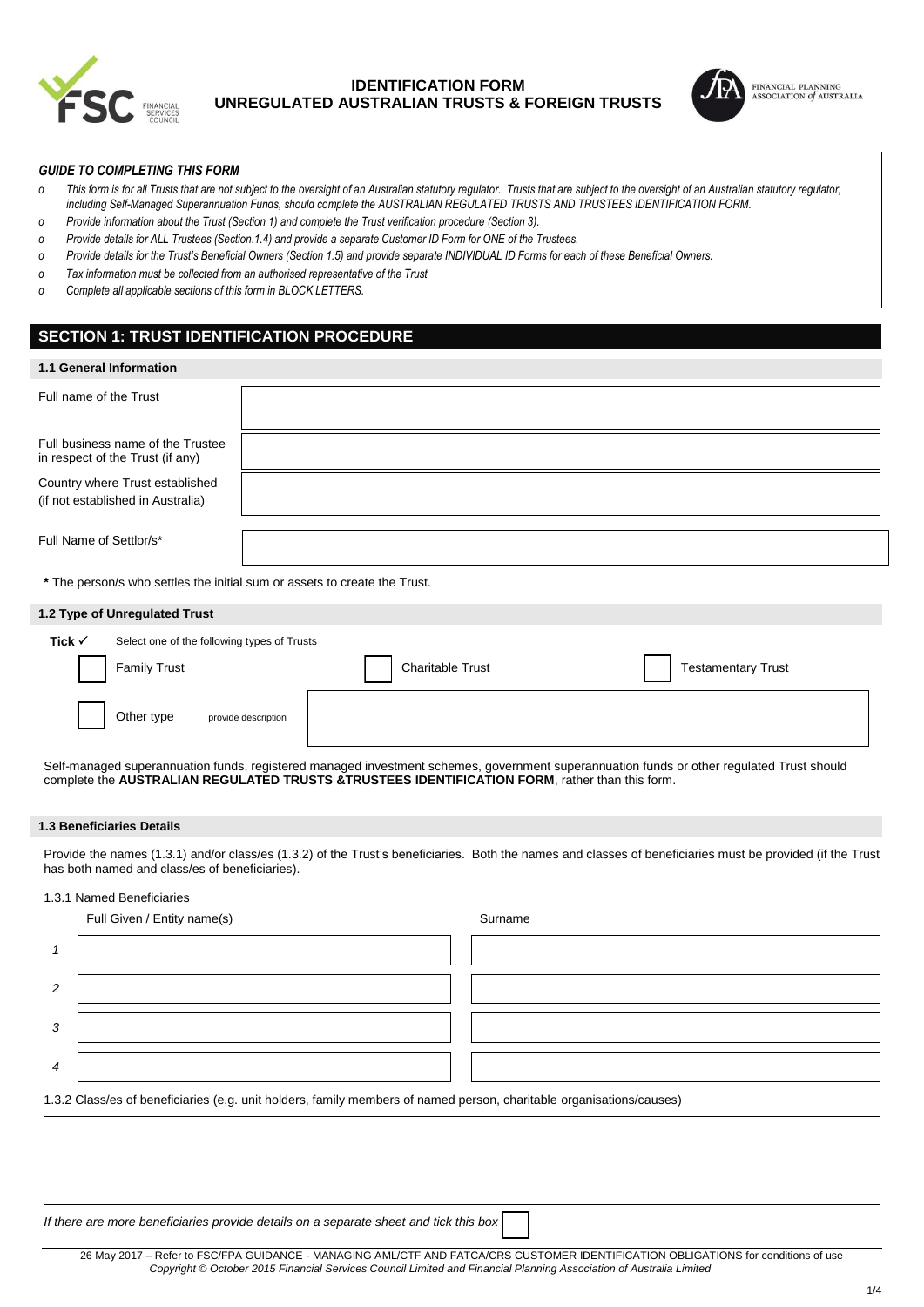

# **IDENTIFICATION FORM UNREGULATED AUSTRALIAN TRUSTS & FOREIGN TRUSTS**



#### *GUIDE TO COMPLETING THIS FORM*

- *o This form is for all Trusts that are not subject to the oversight of an Australian statutory regulator. Trusts that are subject to the oversight of an Australian statutory regulator, including Self-Managed Superannuation Funds, should complete the AUSTRALIAN REGULATED TRUSTS AND TRUSTEES IDENTIFICATION FORM.*
- *o Provide information about the Trust (Section 1) and complete the Trust verification procedure (Section 3).*
- *o Provide details for ALL Trustees (Section.1.4) and provide a separate Customer ID Form for ONE of the Trustees.*
- *o Provide details for the Trust's Beneficial Owners (Section 1.5) and provide separate INDIVIDUAL ID Forms for each of these Beneficial Owners.*
- *o Tax information must be collected from an authorised representative of the Trust*
- *o Complete all applicable sections of this form in BLOCK LETTERS.*

# **SECTION 1: TRUST IDENTIFICATION PROCEDURE**

| 1.1 General Information                                                   |  |
|---------------------------------------------------------------------------|--|
| Full name of the Trust                                                    |  |
| Full business name of the Trustee<br>in respect of the Trust (if any)     |  |
| Country where Trust established<br>(if not established in Australia)      |  |
| Full Name of Settlor/s*                                                   |  |
| * The person/s who settles the initial sum or assets to create the Trust. |  |
| 1.2 Type of Unregulated Trust                                             |  |
|                                                                           |  |

| Tick √ | Select one of the following types of Trusts |                         |                           |
|--------|---------------------------------------------|-------------------------|---------------------------|
|        | <b>Family Trust</b>                         | <b>Charitable Trust</b> | <b>Testamentary Trust</b> |
|        | Other type<br>provide description           |                         |                           |

Self-managed superannuation funds, registered managed investment schemes, government superannuation funds or other regulated Trust should complete the **AUSTRALIAN REGULATED TRUSTS &TRUSTEES IDENTIFICATION FORM**, rather than this form.

#### **1.3 Beneficiaries Details**

Provide the names (1.3.1) and/or class/es (1.3.2) of the Trust's beneficiaries. Both the names and classes of beneficiaries must be provided (if the Trust has both named and class/es of beneficiaries).

#### 1.3.1 Named Beneficiaries

|                | Full Given / Entity name(s)                                                                                          | Surname |
|----------------|----------------------------------------------------------------------------------------------------------------------|---------|
|                |                                                                                                                      |         |
| 2              |                                                                                                                      |         |
| 3              |                                                                                                                      |         |
| $\overline{4}$ |                                                                                                                      |         |
|                | 1.3.2 Class/es of beneficiaries (e.g. unit holders, family members of named person, charitable organisations/causes) |         |
|                |                                                                                                                      |         |

*If there are more beneficiaries provide details on a separate sheet and tick this box* .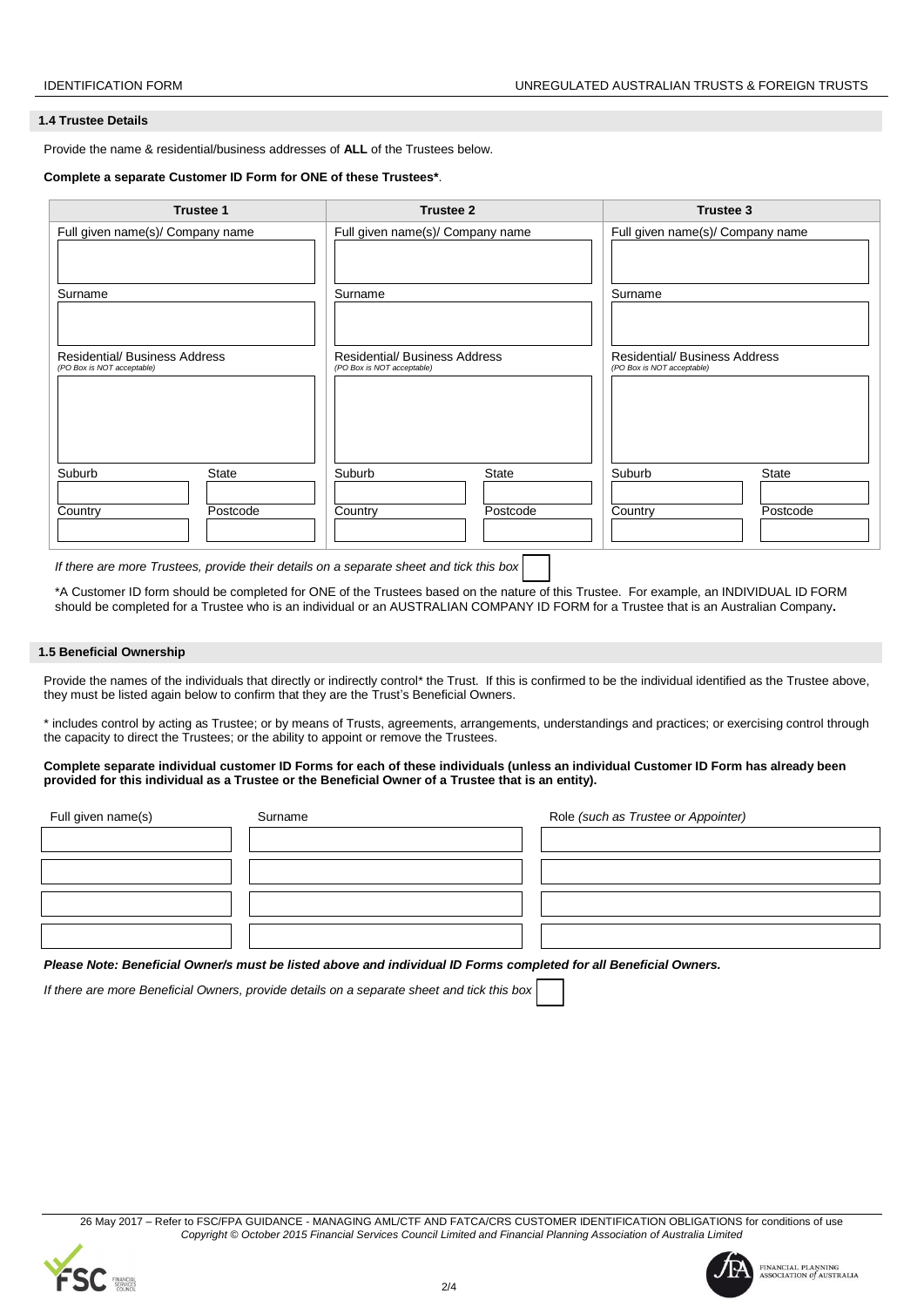#### **1.4 Trustee Details**

Provide the name & residential/business addresses of **ALL** of the Trustees below.

#### **Complete a separate Customer ID Form for ONE of these Trustees\***.

| <b>Trustee 1</b>                                                   | <b>Trustee 2</b>                                                   | Trustee 3                                                          |
|--------------------------------------------------------------------|--------------------------------------------------------------------|--------------------------------------------------------------------|
| Full given name(s)/ Company name                                   | Full given name(s)/ Company name                                   | Full given name(s)/ Company name                                   |
| Surname                                                            | Surname                                                            | Surname                                                            |
| <b>Residential/ Business Address</b><br>(PO Box is NOT acceptable) | <b>Residential/ Business Address</b><br>(PO Box is NOT acceptable) | <b>Residential/ Business Address</b><br>(PO Box is NOT acceptable) |
| Suburb<br><b>State</b><br>Postcode<br>Country                      | Suburb<br><b>State</b><br>Postcode<br>Country                      | Suburb<br><b>State</b><br>Country<br>Postcode                      |
|                                                                    |                                                                    |                                                                    |

*If there are more Trustees, provide their details on a separate sheet and tick this box* .

\*A Customer ID form should be completed for ONE of the Trustees based on the nature of this Trustee. For example, an INDIVIDUAL ID FORM should be completed for a Trustee who is an individual or an AUSTRALIAN COMPANY ID FORM for a Trustee that is an Australian Company**.** 

#### **1.5 Beneficial Ownership**

Provide the names of the individuals that directly or indirectly control\* the Trust. If this is confirmed to be the individual identified as the Trustee above, they must be listed again below to confirm that they are the Trust's Beneficial Owners.

\* includes control by acting as Trustee; or by means of Trusts, agreements, arrangements, understandings and practices; or exercising control through the capacity to direct the Trustees; or the ability to appoint or remove the Trustees.

#### **Complete separate individual customer ID Forms for each of these individuals (unless an individual Customer ID Form has already been provided for this individual as a Trustee or the Beneficial Owner of a Trustee that is an entity).**

| Full given name(s) | Surname | Role (such as Trustee or Appointer) |
|--------------------|---------|-------------------------------------|
|                    |         |                                     |
|                    |         |                                     |
|                    |         |                                     |
|                    |         |                                     |
|                    |         |                                     |

*Please Note: Beneficial Owner/s must be listed above and individual ID Forms completed for all Beneficial Owners.* 

*If there are more Beneficial Owners, provide details on a separate sheet and tick this box* .



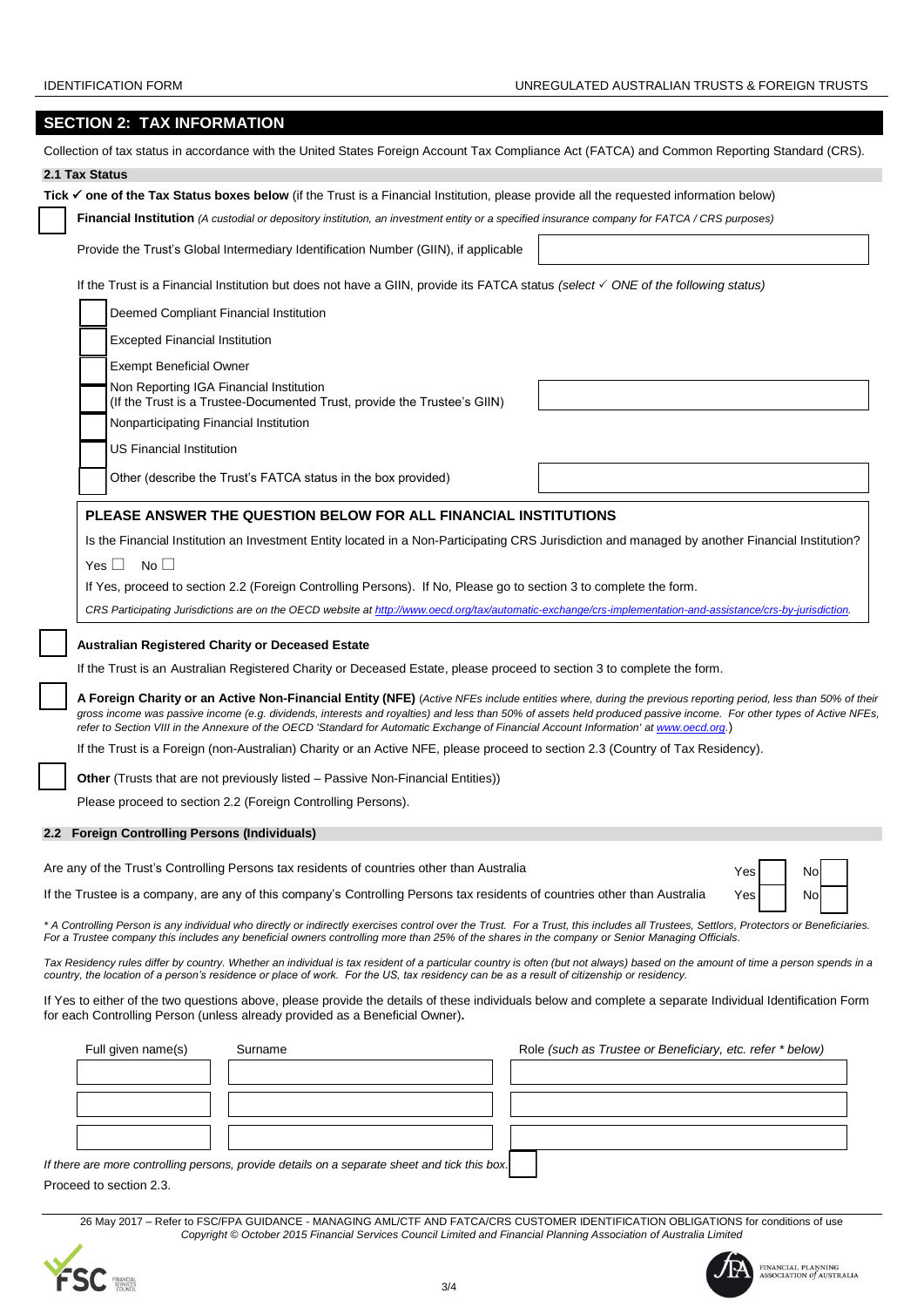# **SECTION 2: TAX INFORMATION**

| Collection of tax status in accordance with the United States Foreign Account Tax Compliance Act (FATCA) and Common Reporting Standard (CRS).                                                                                                                                                                                                                                                                                                                                |
|------------------------------------------------------------------------------------------------------------------------------------------------------------------------------------------------------------------------------------------------------------------------------------------------------------------------------------------------------------------------------------------------------------------------------------------------------------------------------|
| 2.1 Tax Status                                                                                                                                                                                                                                                                                                                                                                                                                                                               |
| Tick <del>V</del> one of the Tax Status boxes below (if the Trust is a Financial Institution, please provide all the requested information below)                                                                                                                                                                                                                                                                                                                            |
| <b>Financial Institution</b> (A custodial or depository institution, an investment entity or a specified insurance company for FATCA / CRS purposes)                                                                                                                                                                                                                                                                                                                         |
| Provide the Trust's Global Intermediary Identification Number (GIIN), if applicable                                                                                                                                                                                                                                                                                                                                                                                          |
| If the Trust is a Financial Institution but does not have a GIIN, provide its FATCA status (select $\checkmark$ ONE of the following status)                                                                                                                                                                                                                                                                                                                                 |
| Deemed Compliant Financial Institution                                                                                                                                                                                                                                                                                                                                                                                                                                       |
| <b>Excepted Financial Institution</b>                                                                                                                                                                                                                                                                                                                                                                                                                                        |
| <b>Exempt Beneficial Owner</b>                                                                                                                                                                                                                                                                                                                                                                                                                                               |
| Non Reporting IGA Financial Institution<br>(If the Trust is a Trustee-Documented Trust, provide the Trustee's GIIN)                                                                                                                                                                                                                                                                                                                                                          |
| Nonparticipating Financial Institution                                                                                                                                                                                                                                                                                                                                                                                                                                       |
| US Financial Institution                                                                                                                                                                                                                                                                                                                                                                                                                                                     |
| Other (describe the Trust's FATCA status in the box provided)                                                                                                                                                                                                                                                                                                                                                                                                                |
| PLEASE ANSWER THE QUESTION BELOW FOR ALL FINANCIAL INSTITUTIONS                                                                                                                                                                                                                                                                                                                                                                                                              |
| Is the Financial Institution an Investment Entity located in a Non-Participating CRS Jurisdiction and managed by another Financial Institution?                                                                                                                                                                                                                                                                                                                              |
| Yes $\Box$<br>No $\square$                                                                                                                                                                                                                                                                                                                                                                                                                                                   |
| If Yes, proceed to section 2.2 (Foreign Controlling Persons). If No, Please go to section 3 to complete the form.                                                                                                                                                                                                                                                                                                                                                            |
| CRS Participating Jurisdictions are on the OECD website at http://www.oecd.org/tax/automatic-exchange/crs-implementation-and-assistance/crs-by-jurisdiction.                                                                                                                                                                                                                                                                                                                 |
| <b>Australian Registered Charity or Deceased Estate</b>                                                                                                                                                                                                                                                                                                                                                                                                                      |
| If the Trust is an Australian Registered Charity or Deceased Estate, please proceed to section 3 to complete the form.                                                                                                                                                                                                                                                                                                                                                       |
| A Foreign Charity or an Active Non-Financial Entity (NFE) (Active NFEs include entities where, during the previous reporting period, less than 50% of their<br>gross income was passive income (e.g. dividends, interests and royalties) and less than 50% of assets held produced passive income. For other types of Active NFEs,<br>refer to Section VIII in the Annexure of the OECD 'Standard for Automatic Exchange of Financial Account Information' at www.oecd.org.) |
| If the Trust is a Foreign (non-Australian) Charity or an Active NFE, please proceed to section 2.3 (Country of Tax Residency).                                                                                                                                                                                                                                                                                                                                               |
| <b>Other</b> (Trusts that are not previously listed – Passive Non-Financial Entities))                                                                                                                                                                                                                                                                                                                                                                                       |
| Please proceed to section 2.2 (Foreign Controlling Persons).                                                                                                                                                                                                                                                                                                                                                                                                                 |
| 2.2 Foreign Controlling Persons (Individuals)                                                                                                                                                                                                                                                                                                                                                                                                                                |
| Are any of the Trust's Controlling Persons tax residents of countries other than Australia<br>Yes<br>No                                                                                                                                                                                                                                                                                                                                                                      |
| If the Trustee is a company, are any of this company's Controlling Persons tax residents of countries other than Australia<br>Yes<br>No                                                                                                                                                                                                                                                                                                                                      |
| * A Controlling Person is any individual who directly or indirectly exercises control over the Trust. For a Trust, this includes all Trustees, Settlors, Protectors or Beneficiaries.<br>For a Trustee company this includes any beneficial owners controlling more than 25% of the shares in the company or Senior Managing Officials.                                                                                                                                      |
| Tax Residency rules differ by country. Whether an individual is tax resident of a particular country is often (but not always) based on the amount of time a person spends in a<br>country, the location of a person's residence or place of work. For the US, tax residency can be as a result of citizenship or residency.                                                                                                                                                 |
| If Yes to either of the two questions above, please provide the details of these individuals below and complete a separate Individual Identification Form<br>for each Controlling Person (unless already provided as a Beneficial Owner).                                                                                                                                                                                                                                    |
| Full given name(s)<br>Role (such as Trustee or Beneficiary, etc. refer * below)<br>Surname                                                                                                                                                                                                                                                                                                                                                                                   |
|                                                                                                                                                                                                                                                                                                                                                                                                                                                                              |
|                                                                                                                                                                                                                                                                                                                                                                                                                                                                              |
|                                                                                                                                                                                                                                                                                                                                                                                                                                                                              |

*If there are more controlling persons, provide details on a separate sheet and tick this box..* 

Proceed to section 2.3.



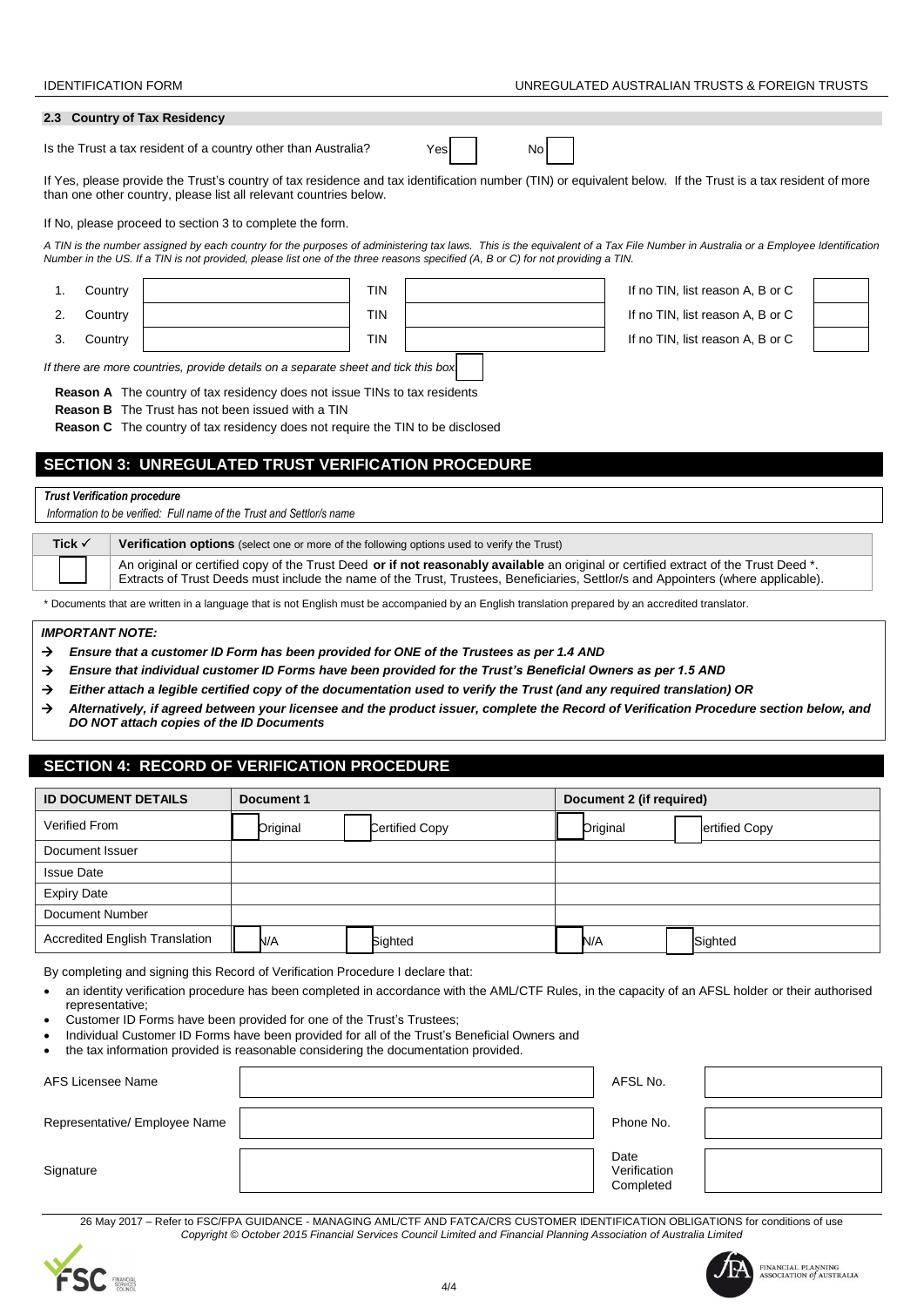#### **2.3 Country of Tax Residency**

Is the Trust a tax resident of a country other than Australia? Yes **Yes** No

If Yes, please provide the Trust's country of tax residence and tax identification number (TIN) or equivalent below. If the Trust is a tax resident of more than one other country, please list all relevant countries below.

If No, please proceed to section 3 to complete the form.

*A TIN is the number assigned by each country for the purposes of administering tax laws. This is the equivalent of a Tax File Number in Australia or a Employee Identification Number in the US. If a TIN is not provided, please list one of the three reasons specified (A, B or C) for not providing a TIN.*

|    | Country | <b>TIN</b> | If no TIN, list reason A, B or C |
|----|---------|------------|----------------------------------|
|    | Country | <b>TIN</b> | If no TIN, list reason A, B or C |
| 3. | Country | <b>TIN</b> | If no TIN, list reason A, B or C |
|    |         |            |                                  |

*If there are more countries, provide details on a separate sheet and tick this box..*

**Reason A** The country of tax residency does not issue TINs to tax residents

**Reason B** The Trust has not been issued with a TIN

**Reason C** The country of tax residency does not require the TIN to be disclosed

# **SECTION 3: UNREGULATED TRUST VERIFICATION PROCEDURE**

#### *Trust Verification procedure*

*Information to be verified: Full name of the Trust and Settlor/s name*

| Tick v | <b>Verification options</b> (select one or more of the following options used to verify the Trust)                                                                                                                                                                        |
|--------|---------------------------------------------------------------------------------------------------------------------------------------------------------------------------------------------------------------------------------------------------------------------------|
|        | An original or certified copy of the Trust Deed or if not reasonably available an original or certified extract of the Trust Deed *.<br>Extracts of Trust Deeds must include the name of the Trust, Trustees, Beneficiaries, Settlor/s and Appointers (where applicable). |

\* Documents that are written in a language that is not English must be accompanied by an English translation prepared by an accredited translator.

#### *IMPORTANT NOTE:*

- *Ensure that a customer ID Form has been provided for ONE of the Trustees as per 1.4 AND*
- *Ensure that individual customer ID Forms have been provided for the Trust's Beneficial Owners as per 1.5 AND*
- *Either attach a legible certified copy of the documentation used to verify the Trust (and any required translation) OR*
- *Alternatively, if agreed between your licensee and the product issuer, complete the Record of Verification Procedure section below, and DO NOT attach copies of the ID Documents*

# **SECTION 4: RECORD OF VERIFICATION PROCEDURE**

| <b>ID DOCUMENT DETAILS</b>     |  | Document 1 |  |                | Document 2 (if required) |                 |  |               |
|--------------------------------|--|------------|--|----------------|--------------------------|-----------------|--|---------------|
| Verified From                  |  | Original   |  | Certified Copy |                          | <b>Driginal</b> |  | ertified Copy |
| Document Issuer                |  |            |  |                |                          |                 |  |               |
| <b>Issue Date</b>              |  |            |  |                |                          |                 |  |               |
| <b>Expiry Date</b>             |  |            |  |                |                          |                 |  |               |
| Document Number                |  |            |  |                |                          |                 |  |               |
| Accredited English Translation |  | N/A        |  | Sighted        |                          | N/A             |  | Sighted       |

By completing and signing this Record of Verification Procedure I declare that:

- an identity verification procedure has been completed in accordance with the AML/CTF Rules, in the capacity of an AFSL holder or their authorised representative;
- Customer ID Forms have been provided for one of the Trust's Trustees;
- Individual Customer ID Forms have been provided for all of the Trust's Beneficial Owners and
- the tax information provided is reasonable considering the documentation provided.

| AFS Licensee Name             | AFSL No.                          |  |
|-------------------------------|-----------------------------------|--|
| Representative/ Employee Name | Phone No.                         |  |
| Signature                     | Date<br>Verification<br>Completed |  |